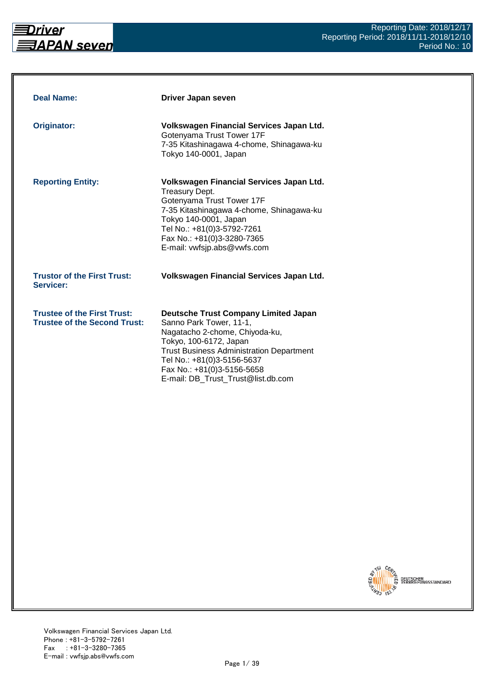

| <b>Deal Name:</b>                                                         | Driver Japan seven                                                                                                                                                                                                                                                                      |
|---------------------------------------------------------------------------|-----------------------------------------------------------------------------------------------------------------------------------------------------------------------------------------------------------------------------------------------------------------------------------------|
| <b>Originator:</b>                                                        | Volkswagen Financial Services Japan Ltd.<br>Gotenyama Trust Tower 17F<br>7-35 Kitashinagawa 4-chome, Shinagawa-ku<br>Tokyo 140-0001, Japan                                                                                                                                              |
| <b>Reporting Entity:</b>                                                  | Volkswagen Financial Services Japan Ltd.<br>Treasury Dept.<br>Gotenyama Trust Tower 17F<br>7-35 Kitashinagawa 4-chome, Shinagawa-ku<br>Tokyo 140-0001, Japan<br>Tel No.: +81(0)3-5792-7261<br>Fax No.: +81(0)3-3280-7365<br>E-mail: vwfsjp.abs@vwfs.com                                 |
| <b>Trustor of the First Trust:</b><br>Servicer:                           | Volkswagen Financial Services Japan Ltd.                                                                                                                                                                                                                                                |
| <b>Trustee of the First Trust:</b><br><b>Trustee of the Second Trust:</b> | <b>Deutsche Trust Company Limited Japan</b><br>Sanno Park Tower, 11-1,<br>Nagatacho 2-chome, Chiyoda-ku,<br>Tokyo, 100-6172, Japan<br><b>Trust Business Administration Department</b><br>Tel No.: +81(0)3-5156-5637<br>Fax No.: +81(0)3-5156-5658<br>E-mail: DB_Trust_Trust@list.db.com |

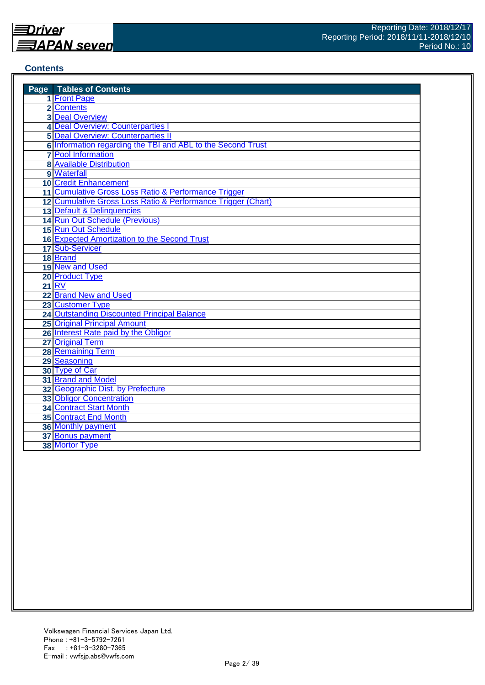#### **Contents**

| <b>Page</b> Tables of Contents                               |
|--------------------------------------------------------------|
| 1 Front Page                                                 |
| 2 Contents                                                   |
| <b>3 Deal Overview</b>                                       |
| 4 Deal Overview: Counterparties I                            |
| <b>5 Deal Overview: Counterparties II</b>                    |
| 6 Information regarding the TBI and ABL to the Second Trust  |
| <b>7</b> Pool Information                                    |
| <b>8</b> Available Distribution                              |
| 9 Waterfall                                                  |
| <b>10 Credit Enhancement</b>                                 |
| 11 Cumulative Gross Loss Ratio & Performance Trigger         |
| 12 Cumulative Gross Loss Ratio & Performance Trigger (Chart) |
| 13 Default & Delinquencies                                   |
| 14 Run Out Schedule (Previous)                               |
| 15 Run Out Schedule                                          |
| <b>16 Expected Amortization to the Second Trust</b>          |
| 17 Sub-Servicer                                              |
| 18 Brand                                                     |
| 19 New and Used                                              |
| 20 Product Type                                              |
| 21 RV                                                        |
| 22 Brand New and Used                                        |
| 23 Customer Type                                             |
| <b>24 Outstanding Discounted Principal Balance</b>           |
| <b>25 Original Principal Amount</b>                          |
| 26 Interest Rate paid by the Obligor                         |
| 27 Original Term                                             |
| 28 Remaining Term                                            |
| 29 Seasoning                                                 |
| 30 Type of Car                                               |
| 31 Brand and Model                                           |
| 32 Geographic Dist. by Prefecture                            |
| <b>33 Obligor Concentration</b>                              |
| <b>34 Contract Start Month</b>                               |
| <b>35 Contract End Month</b>                                 |
| 36 Monthly payment                                           |
| 37 Bonus payment                                             |
| 38 Mortor Type                                               |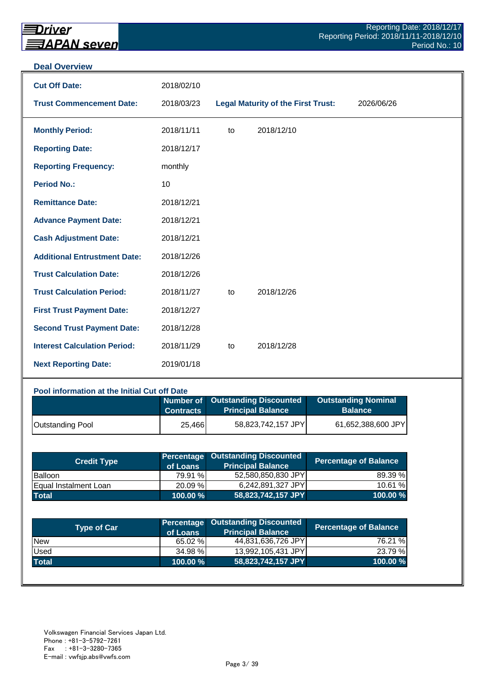#### **Deal Overview**

| <b>Cut Off Date:</b>                | 2018/02/10 |    |                                           |            |
|-------------------------------------|------------|----|-------------------------------------------|------------|
| <b>Trust Commencement Date:</b>     | 2018/03/23 |    | <b>Legal Maturity of the First Trust:</b> | 2026/06/26 |
| <b>Monthly Period:</b>              | 2018/11/11 | to | 2018/12/10                                |            |
| <b>Reporting Date:</b>              | 2018/12/17 |    |                                           |            |
| <b>Reporting Frequency:</b>         | monthly    |    |                                           |            |
| <b>Period No.:</b>                  | 10         |    |                                           |            |
| <b>Remittance Date:</b>             | 2018/12/21 |    |                                           |            |
| <b>Advance Payment Date:</b>        | 2018/12/21 |    |                                           |            |
| <b>Cash Adjustment Date:</b>        | 2018/12/21 |    |                                           |            |
| <b>Additional Entrustment Date:</b> | 2018/12/26 |    |                                           |            |
| <b>Trust Calculation Date:</b>      | 2018/12/26 |    |                                           |            |
| <b>Trust Calculation Period:</b>    | 2018/11/27 | to | 2018/12/26                                |            |
| <b>First Trust Payment Date:</b>    | 2018/12/27 |    |                                           |            |
| <b>Second Trust Payment Date:</b>   | 2018/12/28 |    |                                           |            |
| <b>Interest Calculation Period:</b> | 2018/11/29 | to | 2018/12/28                                |            |
| <b>Next Reporting Date:</b>         | 2019/01/18 |    |                                           |            |

## **Pool information at the Initial Cut off Date**

|                         | <b>Contracts</b> | Number of Outstanding Discounted<br><b>Principal Balance</b> | <b>Outstanding Nominal</b><br><b>Balance</b> |
|-------------------------|------------------|--------------------------------------------------------------|----------------------------------------------|
| <b>Outstanding Pool</b> | 25,466           | 58,823,742,157 JPY                                           | 61,652,388,600 JPY                           |

| <b>Credit Type</b>            | of Loans    | <b>Percentage Outstanding Discounted</b><br><b>Principal Balance</b> | Percentage of Balance |
|-------------------------------|-------------|----------------------------------------------------------------------|-----------------------|
| <b>Balloon</b>                | 79.91 %     | 52,580,850,830 JPY                                                   | 89.39 %               |
| <b>IEqual Instalment Loan</b> | 20.09 %     | 6.242.891.327 JPYI                                                   | 10.61 %               |
| <b>Total</b>                  | $100.00 \%$ | 58,823,742,157 JPY                                                   | 100.00 %              |

| <b>Type of Car</b> | of Loans | <b>Percentage Outstanding Discounted</b><br><b>Principal Balance</b> | <b>Percentage of Balance</b> |
|--------------------|----------|----------------------------------------------------------------------|------------------------------|
| <b>New</b>         | 65.02 %  | 44,831,636,726 JPY                                                   | 76.21 %                      |
| Used               | 34.98 %  | 13,992,105,431 JPY                                                   | 23.79 %                      |
| <b>Total</b>       | 100.00 % | 58,823,742,157 JPY                                                   | 100.00 $%$                   |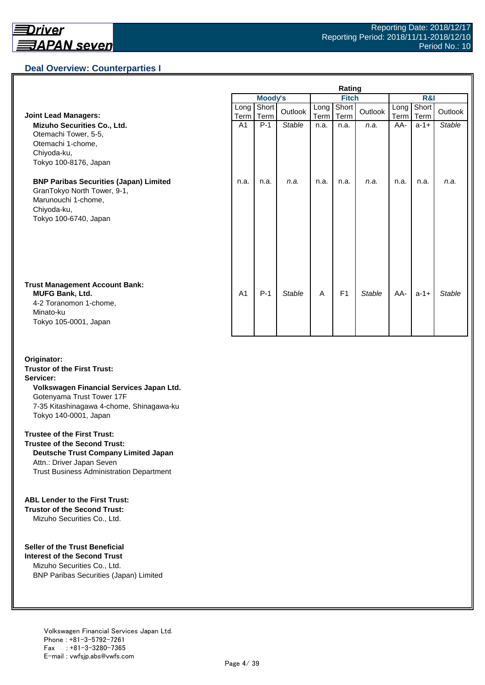## **Deal Overview: Counterparties I**

|                                                                                                                                             | Rating         |               |               |              |                |               |              |               |               |
|---------------------------------------------------------------------------------------------------------------------------------------------|----------------|---------------|---------------|--------------|----------------|---------------|--------------|---------------|---------------|
|                                                                                                                                             | <b>Moody's</b> |               |               | <b>Fitch</b> |                |               | R&I          |               |               |
| <b>Joint Lead Managers:</b>                                                                                                                 | Long<br>Term   | Short<br>Term | Outlook       | Long<br>Term | Short<br>Term  | Outlook       | Long<br>Term | Short<br>Term | Outlook       |
| Mizuho Securities Co., Ltd.<br>Otemachi Tower, 5-5,<br>Otemachi 1-chome,<br>Chiyoda-ku,<br>Tokyo 100-8176, Japan                            | A <sub>1</sub> | $P-1$         | <b>Stable</b> | n.a.         | n.a.           | n.a.          | AA-          | $a-1+$        | <b>Stable</b> |
| <b>BNP Paribas Securities (Japan) Limited</b><br>GranTokyo North Tower, 9-1,<br>Marunouchi 1-chome,<br>Chiyoda-ku,<br>Tokyo 100-6740, Japan | n.a.           | n.a.          | n.a.          | n.a.         | n.a.           | n.a.          | n.a.         | n.a.          | n.a.          |
| <b>Trust Management Account Bank:</b><br><b>MUFG Bank, Ltd.</b><br>4-2 Toranomon 1-chome,<br>Minato-ku<br>Tokyo 105-0001, Japan             | A <sub>1</sub> | $P-1$         | <b>Stable</b> | A            | F <sub>1</sub> | <b>Stable</b> | AA-          | $a-1+$        | <b>Stable</b> |

#### **Originator: Trustor of the First Trust: Servicer: Volkswagen Financial Services Japan Ltd.** Gotenyama Trust Tower 17F 7-35 Kitashinagawa 4-chome, Shinagawa-ku Tokyo 140-0001, Japan

#### **Trustee of the First Trust:**

**Trustee of the Second Trust: Deutsche Trust Company Limited Japan** Attn.: Driver Japan Seven Trust Business Administration Department

#### **ABL Lender to the First Trust:**

**Trustor of the Second Trust:** Mizuho Securities Co., Ltd.

#### **Seller of the Trust Beneficial**

**Interest of the Second Trust** Mizuho Securities Co., Ltd. BNP Paribas Securities (Japan) Limited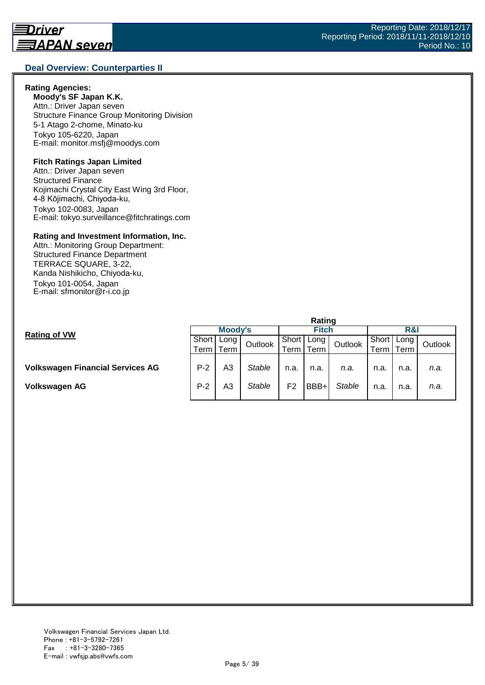#### **Deal Overview: Counterparties II**

#### **Rating Agencies:**

**Moody's SF Japan K.K.** Attn.: Driver Japan seven Structure Finance Group Monitoring Division 5-1 Atago 2-chome, Minato-ku Tokyo 105-6220, Japan E-mail: monitor.msfj@moodys.com

#### **Fitch Ratings Japan Limited**

Attn.: Driver Japan seven Structured Finance Kojimachi Crystal City East Wing 3rd Floor, 4-8 Kōjimachi, Chiyoda-ku, Tokyo 102-0083, Japan E-mail: tokyo.surveillance@fitchratings.com

#### **Rating and Investment Information, Inc.**

Attn.: Monitoring Group Department: Structured Finance Department TERRACE SQUARE, 3-22, Kanda Nishikicho, Chiyoda-ku, Tokyo 101-0054, Japan E-mail: sfmonitor@r-i.co.jp

|                                         | Rating  |      |         |                |      |               |       |      |         |  |
|-----------------------------------------|---------|------|---------|----------------|------|---------------|-------|------|---------|--|
| <b>Rating of VW</b>                     | Moody's |      |         | <b>Fitch</b>   |      |               | R&I   |      |         |  |
|                                         | Short   | Long | Outlook | Short          | Long | Outlook       | Short | Long | Outlook |  |
|                                         | Term    | Term |         | Term .         | Term |               | ⊺erm  | Term |         |  |
| <b>Volkswagen Financial Services AG</b> | $P-2$   | A3   | Stable  | n.a.           | n.a. | n.a.          | n.a.  | n.a. | n.a.    |  |
| Volkswagen AG                           | $P-2$   | A3   | Stable  | F <sub>2</sub> | BBB+ | <b>Stable</b> | n.a.  | n.a. | n.a.    |  |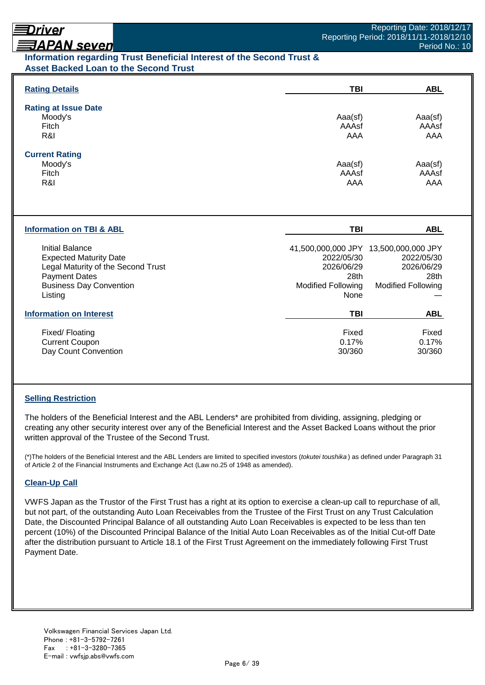## Driver **ヲAPAN seven**

## Period No.: 10

## **Information regarding Trust Beneficial Interest of the Second Trust & Asset Backed Loan to the Second Trust**

| <b>Rating Details</b>                                                                                                                                       | TBI                                                                   | <b>ABL</b>                                                                                             |
|-------------------------------------------------------------------------------------------------------------------------------------------------------------|-----------------------------------------------------------------------|--------------------------------------------------------------------------------------------------------|
| <b>Rating at Issue Date</b><br>Moody's<br>Fitch<br>R&I                                                                                                      | Aaa(sf)<br>AAAsf<br>AAA                                               | Aaa(sf)<br>AAAsf<br>AAA                                                                                |
| <b>Current Rating</b><br>Moody's<br>Fitch<br>R&I                                                                                                            | Aaa(sf)<br>AAAsf<br>AAA                                               | Aaa(sf)<br>AAAsf<br>AAA                                                                                |
|                                                                                                                                                             |                                                                       |                                                                                                        |
| <b>Information on TBI &amp; ABL</b>                                                                                                                         | <b>TBI</b>                                                            | <b>ABL</b>                                                                                             |
| Initial Balance<br><b>Expected Maturity Date</b><br>Legal Maturity of the Second Trust<br><b>Payment Dates</b><br><b>Business Day Convention</b><br>Listing | 2022/05/30<br>2026/06/29<br>28th<br><b>Modified Following</b><br>None | 41,500,000,000 JPY 13,500,000,000 JPY<br>2022/05/30<br>2026/06/29<br>28th<br><b>Modified Following</b> |
| <b>Information on Interest</b>                                                                                                                              | <b>TBI</b>                                                            | <b>ABL</b>                                                                                             |

## **Selling Restriction**

The holders of the Beneficial Interest and the ABL Lenders\* are prohibited from dividing, assigning, pledging or creating any other security interest over any of the Beneficial Interest and the Asset Backed Loans without the prior written approval of the Trustee of the Second Trust.

(\*)The holders of the Beneficial Interest and the ABL Lenders are limited to specified investors (*tokutei toushika* ) as defined under Paragraph 31 of Article 2 of the Financial Instruments and Exchange Act (Law no.25 of 1948 as amended).

#### **Clean-Up Call**

VWFS Japan as the Trustor of the First Trust has a right at its option to exercise a clean-up call to repurchase of all, but not part, of the outstanding Auto Loan Receivables from the Trustee of the First Trust on any Trust Calculation Date, the Discounted Principal Balance of all outstanding Auto Loan Receivables is expected to be less than ten percent (10%) of the Discounted Principal Balance of the Initial Auto Loan Receivables as of the Initial Cut-off Date after the distribution pursuant to Article 18.1 of the First Trust Agreement on the immediately following First Trust Payment Date.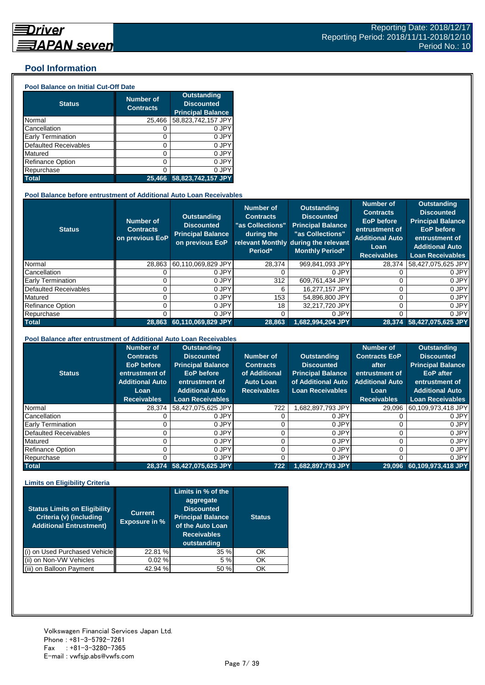#### **Pool Information**

#### **Pool Balance on Initial Cut-Off Date**

| <b>Status</b>                | <b>Number of</b><br><b>Contracts</b> | <b>Outstanding</b><br><b>Discounted</b><br><b>Principal Balance</b> |
|------------------------------|--------------------------------------|---------------------------------------------------------------------|
| Normal                       | 25,466                               | 58,823,742,157 JPY                                                  |
| Cancellation                 | O                                    | 0 JPY                                                               |
| Early Termination            | 0                                    | 0 JPY                                                               |
| <b>Defaulted Receivables</b> | 0                                    | 0 JPY                                                               |
| Matured                      | 0                                    | 0 JPY                                                               |
| <b>Refinance Option</b>      | 0                                    | 0 JPY                                                               |
| Repurchase                   | ი                                    | 0 JPY                                                               |
| <b>Total</b>                 | 25.466                               | 58,823,742,157 JPY                                                  |

#### **Pool Balance before entrustment of Additional Auto Loan Receivables**

| <b>Status</b>            | <b>Number of</b><br><b>Contracts</b><br>on previous EoP | <b>Outstanding</b><br><b>Discounted</b><br><b>Principal Balance</b><br>on previous EoP | <b>Number of</b><br><b>Contracts</b><br>"as Collections"<br>during the<br>Period* | <b>Outstanding</b><br><b>Discounted</b><br><b>Principal Balance</b><br>"as Collections"<br>relevant Monthly during the relevant<br><b>Monthly Period*</b> | Number of<br><b>Contracts</b><br><b>EoP</b> before<br>entrustment of<br><b>Additional Auto</b><br>Loan<br><b>Receivables</b> | <b>Outstanding</b><br><b>Discounted</b><br><b>Principal Balance</b><br><b>EoP</b> before<br>entrustment of<br><b>Additional Auto</b><br><b>Loan Receivables</b> |
|--------------------------|---------------------------------------------------------|----------------------------------------------------------------------------------------|-----------------------------------------------------------------------------------|-----------------------------------------------------------------------------------------------------------------------------------------------------------|------------------------------------------------------------------------------------------------------------------------------|-----------------------------------------------------------------------------------------------------------------------------------------------------------------|
| Normal                   | 28.863                                                  | 60.110.069.829 JPY                                                                     | 28.374                                                                            | 969.841.093 JPY                                                                                                                                           | 28.374                                                                                                                       | 58,427,075,625 JPY                                                                                                                                              |
| Cancellation             |                                                         | 0 JPY                                                                                  |                                                                                   | 0 JPY                                                                                                                                                     |                                                                                                                              | 0 JPY                                                                                                                                                           |
| <b>Early Termination</b> |                                                         | 0 JPY                                                                                  | 312                                                                               | 609,761,434 JPY                                                                                                                                           |                                                                                                                              | 0 JPY                                                                                                                                                           |
| Defaulted Receivables    |                                                         | 0 JPY                                                                                  | 6                                                                                 | 16,277,157 JPY                                                                                                                                            |                                                                                                                              | 0 JPY                                                                                                                                                           |
| Matured                  |                                                         | 0 JPY                                                                                  | 153                                                                               | 54,896,800 JPY                                                                                                                                            |                                                                                                                              | 0 JPY                                                                                                                                                           |
| <b>Refinance Option</b>  |                                                         | 0 JPY                                                                                  | 18                                                                                | 32.217.720 JPY                                                                                                                                            |                                                                                                                              | 0 JPY                                                                                                                                                           |
| Repurchase               |                                                         | 0 JPY                                                                                  | 0                                                                                 | 0 JPY                                                                                                                                                     |                                                                                                                              | 0 JPY                                                                                                                                                           |
| <b>Total</b>             | 28.863                                                  | 60,110,069,829 JPY                                                                     | 28,863                                                                            | 1,682,994,204 JPY                                                                                                                                         |                                                                                                                              | 28,374 58,427,075,625 JPY                                                                                                                                       |

#### **Pool Balance after entrustment of Additional Auto Loan Receivables**

| <b>Status</b>            | <b>Number of</b><br><b>Contracts</b><br><b>EoP</b> before<br>entrustment of<br><b>Additional Auto</b><br>Loan<br><b>Receivables</b> | <b>Outstanding</b><br><b>Discounted</b><br><b>Principal Balance</b><br><b>EoP</b> before<br>entrustment of<br><b>Additional Auto</b><br><b>Loan Receivables</b> | Number of<br><b>Contracts</b><br>of Additional<br><b>Auto Loan</b><br><b>Receivables</b> | <b>Outstanding</b><br><b>Discounted</b><br><b>Principal Balance</b><br>of Additional Auto<br><b>Loan Receivables</b> | <b>Number of</b><br><b>Contracts EoP</b><br>after<br>entrustment of<br><b>Additional Auto</b><br>Loan<br><b>Receivables</b> | <b>Outstanding</b><br><b>Discounted</b><br><b>Principal Balance</b><br><b>EoP</b> after<br>entrustment of<br><b>Additional Auto</b><br><b>Loan Receivables</b> |
|--------------------------|-------------------------------------------------------------------------------------------------------------------------------------|-----------------------------------------------------------------------------------------------------------------------------------------------------------------|------------------------------------------------------------------------------------------|----------------------------------------------------------------------------------------------------------------------|-----------------------------------------------------------------------------------------------------------------------------|----------------------------------------------------------------------------------------------------------------------------------------------------------------|
| Normal                   | 28.374                                                                                                                              | 58,427,075,625 JPY                                                                                                                                              | 722                                                                                      | JPY 3 JPY                                                                                                            | 29.096                                                                                                                      | 60,109,973,418 JPY                                                                                                                                             |
| Cancellation             |                                                                                                                                     | 0 JPY                                                                                                                                                           |                                                                                          | 0 JPY                                                                                                                |                                                                                                                             | 0 JPY                                                                                                                                                          |
| <b>Early Termination</b> |                                                                                                                                     | 0 JPY                                                                                                                                                           |                                                                                          | 0 JPY                                                                                                                |                                                                                                                             | 0 JPY                                                                                                                                                          |
| Defaulted Receivables    |                                                                                                                                     | 0 JPY                                                                                                                                                           |                                                                                          | 0 JPY                                                                                                                |                                                                                                                             | 0 JPY                                                                                                                                                          |
| Matured                  |                                                                                                                                     | 0 JPY                                                                                                                                                           |                                                                                          | 0 JPY                                                                                                                |                                                                                                                             | 0 JPY                                                                                                                                                          |
| <b>Refinance Option</b>  |                                                                                                                                     | 0 JPY                                                                                                                                                           |                                                                                          | 0 JPY                                                                                                                |                                                                                                                             | 0 JPY                                                                                                                                                          |
| Repurchase               |                                                                                                                                     | 0 JPY                                                                                                                                                           |                                                                                          | 0 JPY                                                                                                                |                                                                                                                             | 0 JPY                                                                                                                                                          |
| <b>Total</b>             |                                                                                                                                     | 28,374 58,427,075,625 JPY                                                                                                                                       | 722                                                                                      | 1.682.897.793 JPY                                                                                                    |                                                                                                                             | 29,096 60,109,973,418 JPY                                                                                                                                      |

#### **Limits on Eligibility Criteria**

| <b>Status Limits on Eligibility</b><br>Criteria (v) (including<br><b>Additional Entrustment)</b> | <b>Current</b><br><b>Exposure in %</b> | Limits in % of the<br>aggregate<br><b>Discounted</b><br><b>Principal Balance</b><br>of the Auto Loan<br><b>Receivables</b><br>outstanding | <b>Status</b> |
|--------------------------------------------------------------------------------------------------|----------------------------------------|-------------------------------------------------------------------------------------------------------------------------------------------|---------------|
| on Used Purchased Vehicle                                                                        | 22.81 %                                | 35%                                                                                                                                       | OK            |
| on Non-VW Vehicles                                                                               | 0.02%                                  | 5 %                                                                                                                                       | OK            |
| (iii) on Balloon Payment                                                                         | 42.94 %                                | 50 %                                                                                                                                      | OK            |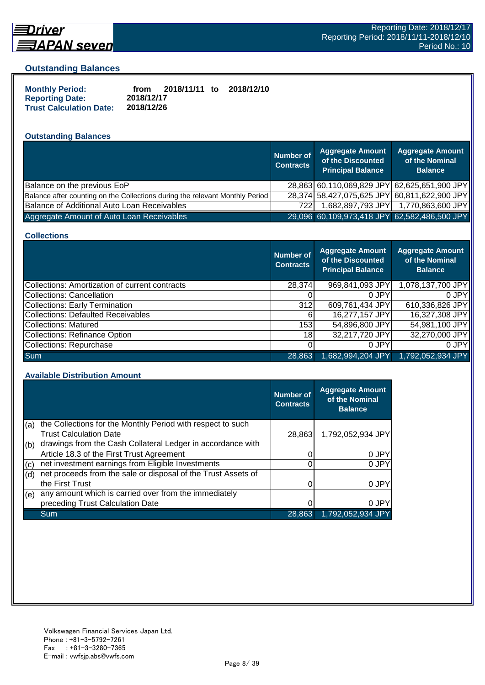

## **Driver** <u> 司APAN seven</u>

#### **Outstanding Balances**

| <b>Monthly Period:</b>         | from       | 2018/11/11 to | 2018/12/10 |
|--------------------------------|------------|---------------|------------|
| <b>Reporting Date:</b>         | 2018/12/17 |               |            |
| <b>Trust Calculation Date:</b> | 2018/12/26 |               |            |

#### **Outstanding Balances**

|                                                                              | <b>Number of</b><br><b>Contracts</b> | <b>Aggregate Amount</b><br>of the Discounted<br><b>Principal Balance</b> | <b>Aggregate Amount</b><br>of the Nominal<br><b>Balance</b> |
|------------------------------------------------------------------------------|--------------------------------------|--------------------------------------------------------------------------|-------------------------------------------------------------|
| Balance on the previous EoP                                                  |                                      |                                                                          | 28,863 60,110,069,829 JPY 62,625,651,900 JPY                |
| Balance after counting on the Collections during the relevant Monthly Period |                                      |                                                                          | 28,374 58,427,075,625 JPY 60,811,622,900 JPY                |
| Balance of Additional Auto Loan Receivables                                  | 7221                                 | 1,682,897,793 JPY                                                        | 1,770,863,600 JPY                                           |
| Aggregate Amount of Auto Loan Receivables                                    |                                      | 29,096 60,109,973,418 JPY 62,582,486,500 JPY                             |                                                             |

#### **Collections**

|                                                | <b>Number of</b><br><b>Contracts</b> | <b>Aggregate Amount</b><br>of the Discounted<br><b>Principal Balance</b> | <b>Aggregate Amount</b><br>of the Nominal<br><b>Balance</b> |
|------------------------------------------------|--------------------------------------|--------------------------------------------------------------------------|-------------------------------------------------------------|
| Collections: Amortization of current contracts | 28,374                               | 969,841,093 JPY                                                          | 1,078,137,700 JPY                                           |
| Collections: Cancellation                      |                                      | 0 JPY                                                                    | 0.JPY                                                       |
| <b>Collections: Early Termination</b>          | 312                                  | 609,761,434 JPY                                                          | 610,336,826 JPY                                             |
| <b>Collections: Defaulted Receivables</b>      | 6                                    | 16,277,157 JPY                                                           | 16,327,308 JPY                                              |
| Collections: Matured                           | 153                                  | 54,896,800 JPY                                                           | 54,981,100 JPY                                              |
| <b>Collections: Refinance Option</b>           | 18                                   | 32,217,720 JPY                                                           | 32,270,000 JPY                                              |
| Collections: Repurchase                        |                                      | 0 JPY                                                                    | 0 JPY                                                       |
| <b>Sum</b>                                     | 28.863                               | 1,682,994,204 JPY                                                        | 1,792,052,934 JPY                                           |

#### **Available Distribution Amount**

|     |                                                               | Number of<br><b>Contracts</b> | <b>Aggregate Amount</b><br>of the Nominal<br><b>Balance</b> |
|-----|---------------------------------------------------------------|-------------------------------|-------------------------------------------------------------|
| (a) | the Collections for the Monthly Period with respect to such   |                               |                                                             |
|     | <b>Trust Calculation Date</b>                                 | 28,863                        | 1,792,052,934 JPY                                           |
| (b) | drawings from the Cash Collateral Ledger in accordance with   |                               |                                                             |
|     | Article 18.3 of the First Trust Agreement                     |                               | 0 JPY                                                       |
| (c) | net investment earnings from Eligible Investments             |                               | 0 JPY                                                       |
| (d) | net proceeds from the sale or disposal of the Trust Assets of |                               |                                                             |
|     | the First Trust                                               |                               | 0 JPY                                                       |
| (e) | any amount which is carried over from the immediately         |                               |                                                             |
|     | preceding Trust Calculation Date                              |                               | 0 JPY                                                       |
|     | Sum                                                           | 28.863                        | 1.792.052.934 JPY                                           |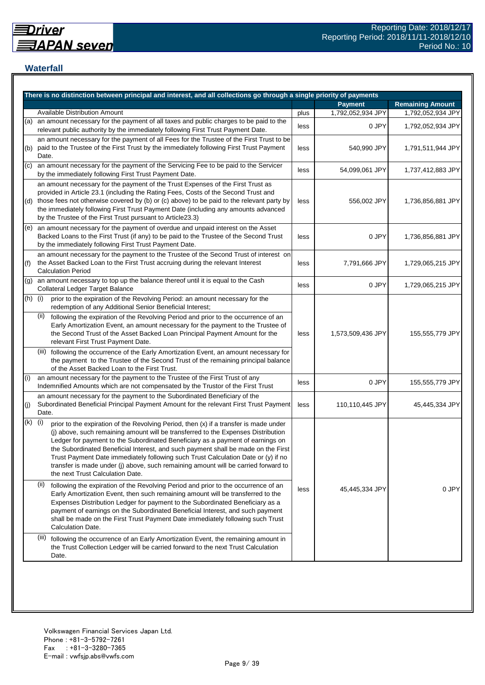## **Waterfall**

|     | There is no distinction between principal and interest, and all collections go through a single priority of payments                                                                                                                                                                                                                                                                                                                                                                                                                                                    |      |                   |                         |
|-----|-------------------------------------------------------------------------------------------------------------------------------------------------------------------------------------------------------------------------------------------------------------------------------------------------------------------------------------------------------------------------------------------------------------------------------------------------------------------------------------------------------------------------------------------------------------------------|------|-------------------|-------------------------|
|     |                                                                                                                                                                                                                                                                                                                                                                                                                                                                                                                                                                         |      | <b>Payment</b>    | <b>Remaining Amount</b> |
|     | <b>Available Distribution Amount</b>                                                                                                                                                                                                                                                                                                                                                                                                                                                                                                                                    | plus | 1,792,052,934 JPY | 1,792,052,934 JPY       |
| (a) | an amount necessary for the payment of all taxes and public charges to be paid to the<br>relevant public authority by the immediately following First Trust Payment Date.                                                                                                                                                                                                                                                                                                                                                                                               | less | 0 JPY             | 1,792,052,934 JPY       |
| (b) | an amount necessary for the payment of all Fees for the Trustee of the First Trust to be<br>paid to the Trustee of the First Trust by the immediately following First Trust Payment<br>Date.                                                                                                                                                                                                                                                                                                                                                                            | less | 540,990 JPY       | 1,791,511,944 JPY       |
| (c) | an amount necessary for the payment of the Servicing Fee to be paid to the Servicer<br>by the immediately following First Trust Payment Date.                                                                                                                                                                                                                                                                                                                                                                                                                           | less | 54,099,061 JPY    | 1,737,412,883 JPY       |
| (d) | an amount necessary for the payment of the Trust Expenses of the First Trust as<br>provided in Article 23.1 (including the Rating Fees, Costs of the Second Trust and<br>those fees not otherwise covered by (b) or (c) above) to be paid to the relevant party by<br>the immediately following First Trust Payment Date (including any amounts advanced<br>by the Trustee of the First Trust pursuant to Article23.3)                                                                                                                                                  | less | 556,002 JPY       | 1,736,856,881 JPY       |
| (e) | an amount necessary for the payment of overdue and unpaid interest on the Asset<br>Backed Loans to the First Trust (if any) to be paid to the Trustee of the Second Trust<br>by the immediately following First Trust Payment Date.                                                                                                                                                                                                                                                                                                                                     | less | 0 JPY             | 1,736,856,881 JPY       |
| (f) | an amount necessary for the payment to the Trustee of the Second Trust of interest on<br>the Asset Backed Loan to the First Trust accruing during the relevant Interest<br><b>Calculation Period</b>                                                                                                                                                                                                                                                                                                                                                                    | less | 7,791,666 JPY     | 1,729,065,215 JPY       |
| (g) | an amount necessary to top up the balance thereof until it is equal to the Cash<br><b>Collateral Ledger Target Balance</b>                                                                                                                                                                                                                                                                                                                                                                                                                                              | less | 0 JPY             | 1,729,065,215 JPY       |
| (h) | (i)<br>prior to the expiration of the Revolving Period: an amount necessary for the<br>redemption of any Additional Senior Beneficial Interest;                                                                                                                                                                                                                                                                                                                                                                                                                         |      |                   |                         |
|     | (ii)<br>following the expiration of the Revolving Period and prior to the occurrence of an<br>Early Amortization Event, an amount necessary for the payment to the Trustee of<br>the Second Trust of the Asset Backed Loan Principal Payment Amount for the<br>relevant First Trust Payment Date.                                                                                                                                                                                                                                                                       | less | 1,573,509,436 JPY | 155,555,779 JPY         |
|     | (iii) following the occurrence of the Early Amortization Event, an amount necessary for<br>the payment to the Trustee of the Second Trust of the remaining principal balance<br>of the Asset Backed Loan to the First Trust.                                                                                                                                                                                                                                                                                                                                            |      |                   |                         |
| (i) | an amount necessary for the payment to the Trustee of the First Trust of any<br>Indemnified Amounts which are not compensated by the Trustor of the First Trust                                                                                                                                                                                                                                                                                                                                                                                                         | less | 0 JPY             | 155,555,779 JPY         |
| (j) | an amount necessary for the payment to the Subordinated Beneficiary of the<br>Subordinated Beneficial Principal Payment Amount for the relevant First Trust Payment<br>Date.                                                                                                                                                                                                                                                                                                                                                                                            | less | 110,110,445 JPY   | 45,445,334 JPY          |
| (k) | (i)<br>prior to the expiration of the Revolving Period, then (x) if a transfer is made under<br>(j) above, such remaining amount will be transferred to the Expenses Distribution<br>Ledger for payment to the Subordinated Beneficiary as a payment of earnings on<br>the Subordinated Beneficial Interest, and such payment shall be made on the First<br>Trust Payment Date immediately following such Trust Calculation Date or (y) if no<br>transfer is made under (j) above, such remaining amount will be carried forward to<br>the next Trust Calculation Date. |      |                   |                         |
|     | (II)<br>following the expiration of the Revolving Period and prior to the occurrence of an<br>Early Amortization Event, then such remaining amount will be transferred to the<br>Expenses Distribution Ledger for payment to the Subordinated Beneficiary as a<br>payment of earnings on the Subordinated Beneficial Interest, and such payment<br>shall be made on the First Trust Payment Date immediately following such Trust<br>Calculation Date.                                                                                                                  | less | 45,445,334 JPY    | 0 JPY                   |
|     | (III)<br>following the occurrence of an Early Amortization Event, the remaining amount in<br>the Trust Collection Ledger will be carried forward to the next Trust Calculation<br>Date.                                                                                                                                                                                                                                                                                                                                                                                 |      |                   |                         |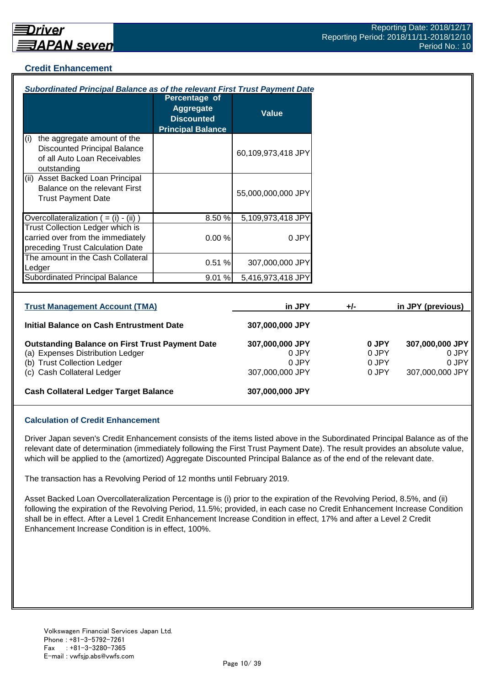#### **Credit Enhancement**

| Subordinated Principal Balance as of the relevant First Trust Payment Date                                                                              |                                                                                           |                                                      |       |                                  |                                                      |
|---------------------------------------------------------------------------------------------------------------------------------------------------------|-------------------------------------------------------------------------------------------|------------------------------------------------------|-------|----------------------------------|------------------------------------------------------|
|                                                                                                                                                         | <b>Percentage of</b><br><b>Aggregate</b><br><b>Discounted</b><br><b>Principal Balance</b> | <b>Value</b>                                         |       |                                  |                                                      |
| the aggregate amount of the<br>(i)<br><b>Discounted Principal Balance</b><br>of all Auto Loan Receivables<br>outstanding                                |                                                                                           | 60,109,973,418 JPY                                   |       |                                  |                                                      |
| (ii) Asset Backed Loan Principal<br>Balance on the relevant First<br><b>Trust Payment Date</b>                                                          |                                                                                           | 55,000,000,000 JPY                                   |       |                                  |                                                      |
| Overcollateralization $( = (i) - (ii) )$                                                                                                                | 8.50%                                                                                     | 5,109,973,418 JPY                                    |       |                                  |                                                      |
| Trust Collection Ledger which is<br>carried over from the immediately<br>preceding Trust Calculation Date                                               | 0.00%                                                                                     | 0 JPY                                                |       |                                  |                                                      |
| The amount in the Cash Collateral<br>Ledger                                                                                                             | 0.51%                                                                                     | 307,000,000 JPY                                      |       |                                  |                                                      |
| <b>Subordinated Principal Balance</b>                                                                                                                   | 9.01%                                                                                     | 5,416,973,418 JPY                                    |       |                                  |                                                      |
| <b>Trust Management Account (TMA)</b>                                                                                                                   |                                                                                           | in JPY                                               | $+/-$ |                                  | in JPY (previous)                                    |
| Initial Balance on Cash Entrustment Date                                                                                                                |                                                                                           | 307,000,000 JPY                                      |       |                                  |                                                      |
| <b>Outstanding Balance on First Trust Payment Date</b><br>(a) Expenses Distribution Ledger<br>(b) Trust Collection Ledger<br>(c) Cash Collateral Ledger |                                                                                           | 307,000,000 JPY<br>0 JPY<br>0 JPY<br>307,000,000 JPY |       | 0 JPY<br>0 JPY<br>0 JPY<br>0 JPY | 307,000,000 JPY<br>0 JPY<br>0 JPY<br>307,000,000 JPY |
| <b>Cash Collateral Ledger Target Balance</b>                                                                                                            |                                                                                           | 307,000,000 JPY                                      |       |                                  |                                                      |

#### **Calculation of Credit Enhancement**

Driver Japan seven's Credit Enhancement consists of the items listed above in the Subordinated Principal Balance as of the relevant date of determination (immediately following the First Trust Payment Date). The result provides an absolute value, which will be applied to the (amortized) Aggregate Discounted Principal Balance as of the end of the relevant date.

The transaction has a Revolving Period of 12 months until February 2019.

Asset Backed Loan Overcollateralization Percentage is (i) prior to the expiration of the Revolving Period, 8.5%, and (ii) following the expiration of the Revolving Period, 11.5%; provided, in each case no Credit Enhancement Increase Condition shall be in effect. After a Level 1 Credit Enhancement Increase Condition in effect, 17% and after a Level 2 Credit Enhancement Increase Condition is in effect, 100%.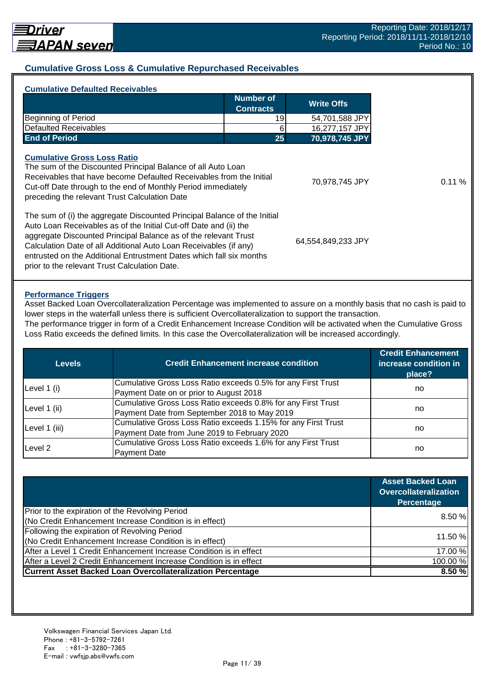#### **Cumulative Gross Loss & Cumulative Repurchased Receivables**

|                                                                                                                                                                                                                                                                                                                                                              | <b>Number of</b><br><b>Contracts</b> | <b>Write Offs</b>  |
|--------------------------------------------------------------------------------------------------------------------------------------------------------------------------------------------------------------------------------------------------------------------------------------------------------------------------------------------------------------|--------------------------------------|--------------------|
| Beginning of Period                                                                                                                                                                                                                                                                                                                                          | 19                                   | 54,701,588 JPY     |
| <b>Defaulted Receivables</b>                                                                                                                                                                                                                                                                                                                                 | 6                                    | 16,277,157 JPY     |
| <b>End of Period</b>                                                                                                                                                                                                                                                                                                                                         | 25                                   | 70,978,745 JPY     |
| The sum of the Discounted Principal Balance of all Auto Loan<br>Receivables that have become Defaulted Receivables from the Initial<br>Cut-off Date through to the end of Monthly Period immediately<br>preceding the relevant Trust Calculation Date                                                                                                        |                                      | 70,978,745 JPY     |
| The sum of (i) the aggregate Discounted Principal Balance of the Initial<br>Auto Loan Receivables as of the Initial Cut-off Date and (ii) the<br>aggregate Discounted Principal Balance as of the relevant Trust<br>Calculation Date of all Additional Auto Loan Receivables (if any)<br>entrusted on the Additional Entrustment Dates which fall six months |                                      | 64,554,849,233 JPY |

#### **Performance Triggers**

Asset Backed Loan Overcollateralization Percentage was implemented to assure on a monthly basis that no cash is paid to lower steps in the waterfall unless there is sufficient Overcollateralization to support the transaction. The performance trigger in form of a Credit Enhancement Increase Condition will be activated when the Cumulative Gross

Loss Ratio exceeds the defined limits. In this case the Overcollateralization will be increased accordingly.

| Levels        | <b>Credit Enhancement increase condition</b>                  | <b>Credit Enhancement</b><br>increase condition in<br>place? |  |
|---------------|---------------------------------------------------------------|--------------------------------------------------------------|--|
|               | Cumulative Gross Loss Ratio exceeds 0.5% for any First Trust  |                                                              |  |
| Level 1 (i)   | Payment Date on or prior to August 2018                       | no                                                           |  |
| Level 1 (ii)  | Cumulative Gross Loss Ratio exceeds 0.8% for any First Trust  |                                                              |  |
|               | Payment Date from September 2018 to May 2019                  | no                                                           |  |
|               | Cumulative Gross Loss Ratio exceeds 1.15% for any First Trust |                                                              |  |
| Level 1 (iii) | Payment Date from June 2019 to February 2020                  | no                                                           |  |
| Level 2       | Cumulative Gross Loss Ratio exceeds 1.6% for any First Trust  |                                                              |  |
|               | <b>Payment Date</b>                                           | no                                                           |  |

|                                                                    | <b>Asset Backed Loan</b><br><b>Overcollateralization</b><br>Percentage |
|--------------------------------------------------------------------|------------------------------------------------------------------------|
| Prior to the expiration of the Revolving Period                    | 8.50%                                                                  |
| (No Credit Enhancement Increase Condition is in effect)            |                                                                        |
| Following the expiration of Revolving Period                       |                                                                        |
| (No Credit Enhancement Increase Condition is in effect)            | 11.50 %                                                                |
| After a Level 1 Credit Enhancement Increase Condition is in effect | 17.00 %                                                                |
| After a Level 2 Credit Enhancement Increase Condition is in effect | 100.00%                                                                |
| <b>Current Asset Backed Loan Overcollateralization Percentage</b>  | 8.50 %                                                                 |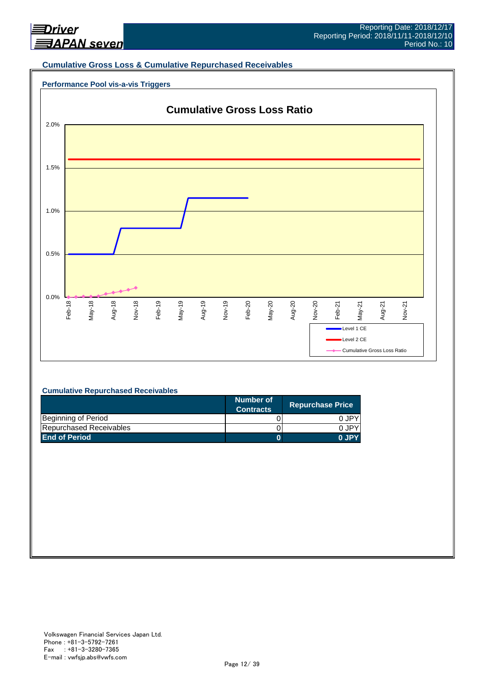

#### **Cumulative Gross Loss & Cumulative Repurchased Receivables**

#### **Performance Pool vis-a-vis Triggers**



#### **Cumulative Repurchased Receivables**

|                         | Number of<br><b>Contracts</b> | <b>Repurchase Price</b> |
|-------------------------|-------------------------------|-------------------------|
| Beginning of Period     |                               | 0 JPY                   |
| Repurchased Receivables |                               | 0.JPY                   |
| <b>End of Period</b>    |                               | 0 JPY                   |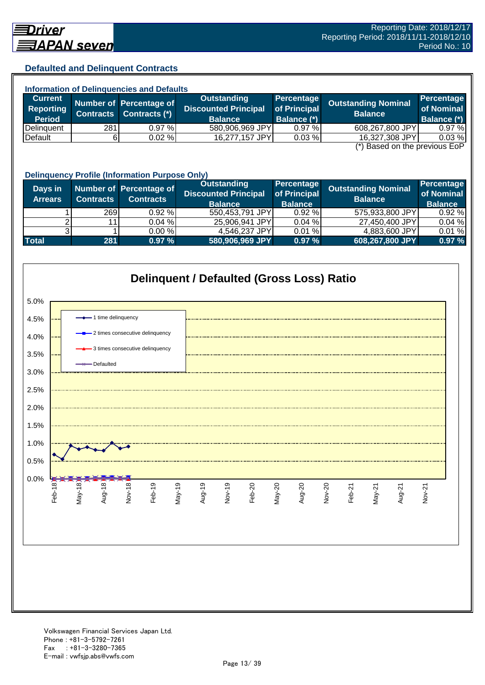## **Defaulted and Delinquent Contracts**

| <b>Information of Delinquencies and Defaults</b> |                  |                         |                             |                    |                            |                    |  |
|--------------------------------------------------|------------------|-------------------------|-----------------------------|--------------------|----------------------------|--------------------|--|
| <b>Current</b>                                   |                  | Number of Percentage of | Outstanding                 | Percentage         | <b>Outstanding Nominal</b> | Percentage         |  |
| Reporting                                        | <b>Contracts</b> | Contracts (*)           | <b>Discounted Principal</b> | of Principal       | <b>Balance</b>             | of Nominal         |  |
| <b>Period</b>                                    |                  |                         | <b>Balance</b>              | <b>Balance (*)</b> |                            | <b>Balance (*)</b> |  |
| Delinquent                                       | 281              | 0.97%                   | 580,906,969 JPY             | 0.97%              | 608,267,800 JPY            | 0.97%              |  |
| Default                                          |                  | 0.02%                   | 16,277,157 JPY              | 0.03%              | 16,327,308 JPY             | 0.03%              |  |
| $(*)$ Rocad on the provisive $F \circ F$         |                  |                         |                             |                    |                            |                    |  |

(\*) Based on the previous EoP

|                           | <b>Delinquency Profile (Information Purpose Only)</b> |                                             |                                                                     |                                              |                                              |                                            |  |  |
|---------------------------|-------------------------------------------------------|---------------------------------------------|---------------------------------------------------------------------|----------------------------------------------|----------------------------------------------|--------------------------------------------|--|--|
| Days in<br><b>Arrears</b> | <b>Contracts</b>                                      | Number of Percentage of<br><b>Contracts</b> | <b>Outstanding</b><br><b>Discounted Principal</b><br><b>Balance</b> | Percentage<br>of Principal<br><b>Balance</b> | <b>Outstanding Nominal</b><br><b>Balance</b> | Percentage<br>of Nominal<br><b>Balance</b> |  |  |
|                           | <b>269</b>                                            | $0.92 \%$                                   | 550,453,791 JPY                                                     | 0.92%                                        | 575,933,800 JPY                              | 0.92%                                      |  |  |
|                           | 11                                                    | 0.04%                                       | 25,906,941 JPY                                                      | 0.04%                                        | 27,450,400 JPY                               | 0.04%                                      |  |  |
|                           |                                                       | $0.00 \%$                                   | 4,546,237 JPY                                                       | 0.01%                                        | 4,883,600 JPY                                | 0.01%                                      |  |  |
| <b>Total</b>              | 281                                                   | 0.97%                                       | 580,906,969 JPY                                                     | 0.97%                                        | 608,267,800 JPY                              | 0.97 %                                     |  |  |

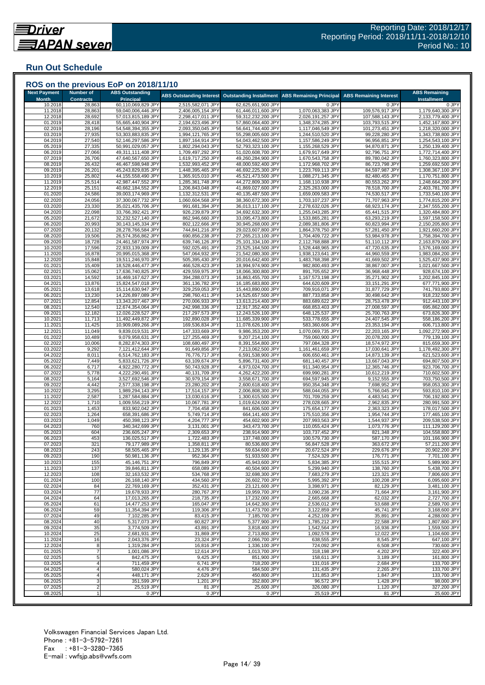## **Run Out Schedule**

| <b>Next Payment</b><br><b>Month</b> | <b>Number of</b><br><b>Contracts</b> | <b>ABS Outstanding</b><br><b>Principal</b> | <b>ABS Outstanding Interest</b>        | <b>Outstanding Installment</b>           | <b>ABS Remaining Principal</b>         | <b>ABS Remaining Interest</b>      | <b>ABS Remaining</b><br><b>Installment</b> |
|-------------------------------------|--------------------------------------|--------------------------------------------|----------------------------------------|------------------------------------------|----------------------------------------|------------------------------------|--------------------------------------------|
| 10.2018                             | 28,863                               | 60,110,069,829 JPY                         | 2,515,582,071 JPY                      | 62,625,651,900 JPY                       | 0 JPY                                  | 0 JPY                              | 0 JPY                                      |
| 11.2018<br>12.2018                  | 28,863<br>28,692                     | 59,040,006,446 JPY<br>57,013,815,189 JPY   | 2,406,005,154 JPY<br>2,298,417,011 JPY | 61,446,011,600 JPY<br>59,312,232,200 JPY | 1,070,063,383 JPY<br>2,026,191,257 JPY | 109,576,917 JPY<br>107,588,143 JPY | 1,179,640,300 JPY<br>2,133,779,400 JPY     |
| 01.2019                             | 28,418                               | 55,665,440,904 JPY                         | 2,194,623,496 JPY                      | 57,860,064,400 JPY                       | 1,348,374,285 JPY                      | 103,793,515 JPY                    | 1,452,167,800 JPY                          |
| 02.2019                             | 28,196                               | 54,548,394,355 JPY                         | 2,093,350,045 JPY                      | 56,641,744,400 JPY                       | 1,117,046,549 JPY                      | 101,273,451 JPY                    | 1,218,320,000 JPY                          |
| 03.2019<br>04.2019                  | 27,935<br>27,540                     | 53,303,883,835 JPY<br>52,146,297,586 JPY   | 1,994,121,765 JPY<br>1,897,164,914 JPY | 55,298,005,600 JPY<br>54,043,462,500 JPY | 1,244,510,520 JPY<br>1,157,586,249 JP\ | 99,228,280 JPY<br>96,956,851 JPY   | 1,343,738,800 JPY<br>1,254,543,100 JPY     |
| 05.2019                             | 27,335                               | 50,991,029,057 JPY                         | 1,802,294,043 JPY                      | 52,793,323,100 JPY                       | 1,155,268,529 JPY                      | 94,870,871 JPY                     | 1,250,139,400 JPY                          |
| 06.2019                             | 27,066                               | 49,311,111,408 JPY                         | 1,709,497,292 JPY                      | 51,020,608,700 JPY                       | 1,679,917,649 JPY                      | 92,796,751 JPY                     | 1,772,714,400 JPY                          |
| 07.2019                             | 26,706                               | 47,640,567,650 JPY                         | 1,619,717,250 JPY                      | 49,260,284,900 JPY                       | 1,670,543,758 JPY                      | 89,780,042 JPY                     | 1,760,323,800 JPY                          |
| 08.2019<br>09.2019                  | 26,432<br>26,201                     | 46,467,598,948 JPY<br>45,243,829,835 JPY   | 1,532,993,452 JPY<br>1,448,395,465 JPY | 48,000,592,400 JPY<br>46,692,225,300 JPY | 1,172,968,702 JPY<br>1,223,769,113 JPY | 86,723,798 JPY<br>84,597,987 JPY   | 1,259,692,500 JPY<br>1,308,367,100 JPY     |
| 10.2019                             | 25,802                               | 44,155,558,490 JPY                         | 1,365,915,010 JPY                      | 45,521,473,500 JPY                       | 1,088,271,345 JPY                      | 82,480,455 JPY                     | 1,170,751,800 JPY                          |
| 11.2019                             | 25,514                               | 42,987,447,552 JPY                         | 1,285,361,748 JPY                      | 44,272,809,300 JPY                       | 1,168,110,938 JPY                      | 80,553,262 JPY                     | 1,248,664,200 JPY                          |
| 12.2019<br>01.2020                  | 25,151                               | 40,662,184,552 JPY                         | 1,206,843,048 JPY<br>1,132,312,531 JPY | 41,869,027,600 JPY                       | 2,325,263,000 JPY<br>1,659,009,583 JPY | 78,518,700 JPY<br>74,530,517 JPY   | 2,403,781,700 JPY                          |
| 02.2020                             | 24,586<br>24,056                     | 39,003,174,969 JPY<br>37,300,067,732 JPY   | 1,060,604,568 JPY                      | 40,135,487,500 JPY<br>38,360,672,300 JPY | 1,703,107,237 JPY                      | 71,707,963 JPY                     | 1,733,540,100 JPY<br>1,774,815,200 JPY     |
| 03.2020                             | 23,330                               | 35,021,435,706 JPY                         | 991,681,394 JPY                        | 36,013,117,100 JPY                       | 2,278,632,026 JPY                      | 68,923,174 JPY                     | 2,347,555,200 JPY                          |
| 04.2020                             | 22,098                               | 33,766,392,421 JPY                         | 926,239,879 JPY                        | 34,692,632,300 JPY                       | 1,255,043,285 JPY                      | 65,441,515 JPY                     | 1,320,484,800 JPY                          |
| 05.2020                             | 21,672                               | 32,232,527,140 JPY                         | 862,946,660 JPY                        | 33,095,473,800 JPY                       | 1,533,865,281 JPY                      | 63,293,219 JPY                     | 1,597,158,500 JPY                          |
| 06.2020<br>07.2020                  | 20,993<br>20,132                     | 30,143,145,334 JPY<br>28,278,766,584 JPY   | 802,122,666 JPY<br>744,841,216 JPY     | 30,945,268,000 JPY<br>29,023,607,800 JPY | 2,089,381,806 JPY<br>1,864,378,750 JPY | 60,823,994 JPY<br>57,281,450 JPY   | 2,150,205,800 JPY<br>1,921,660,200 JPY     |
| 08.2020                             | 19,506                               | 26,574,356,862 JPY                         | 690,856,238 JPY                        | 27,265,213,100 JPY                       | 1,704,409,722 JPY                      | 53,984,978 JPY                     | 1,758,394,700 JPY                          |
| 09.2020                             | 18,728                               | 24,461,587,974 JPY                         | 639,746,126 JPY                        | 25,101,334,100 JPY                       | 2,112,768,888 JPY                      | 51,110,112 JPY                     | 2,163,879,000 JPY                          |
| 10.2020                             | 17,596                               | 22,933,139,009 JPY<br>20,995,015,368 JPY   | 592,025,491 JPY                        | 23,525,164,500 JPY                       | 1,528,448,965 JPY                      | 47,720,635 JPY<br>44,960,559 JPY   | 1,576,169,600 JPY<br>1,983,084,200 JPY     |
| 11.2020<br>12.2020                  | 16,878<br>15,848                     | 19,511,246,970 JPY                         | 547,064,932 JPY<br>505,395,430 JPY     | 21,542,080,300 JPY<br>20,016,642,400 JPY | 1,938,123,641 JPY<br>1,483,768,398 JPY | 41,669,502 JPY                     | 1,525,437,900 JPY                          |
| 01.2021                             | 15,409                               | 18,528,446,477 JPY                         | 466,528,423 JPY                        | 18,994,974,900 JPY                       | 982,800,493 JPY                        | 38,867,007 JPY                     | 1,021,667,500 JPY                          |
| 02.2021                             | 15,062                               | 17,636,740,825 JPY                         | 429,559,975 JPY                        | 18,066,300,800 JPY                       | 891,705,652 JPY                        | 36,968,448 JPY                     | 928,674,100 JPY                            |
| 03.2021                             | 14,592                               | 16,469,167,627 JPY                         | 394,288,073 JPY                        | 16,863,455,700 JPY                       | 1,167,573,198 JPY                      | 35,271,902 JPY                     | 1,202,845,100 JPY                          |
| 04.2021<br>05.2021                  | 13,876<br>13,618                     | 15,824,547,018 JPY<br>15,114,630,947 JPY   | 361,136,782 JPY<br>329,259,053 JPY     | 16,185,683,800 JPY<br>15,443,890,000 JPY | 644,620,609 JPY<br>709,916,071 JPY     | 33,151,291 JPY<br>31,877,729 JPY   | 677,771,900 JPY<br>741,793,800 JPY         |
| 06.2021                             | 13,230                               | 14,226,897,089 JPY                         | 298,760,411 JPY                        | 14,525,657,500 JPY                       | 887,733,858 JPY                        | 30,498,642 JPY                     | 918,232,500 JPY                            |
| 07.2021                             | 12,854                               | 13,343,207,467 JPY                         | 270,006,933 JPY                        | 13,613,214,400 JPY                       | 883,689,622 JPY                        | 28,753,478 JPY                     | 912,443,100 JPY                            |
| 08.2021                             | 12,540                               | 12,674,354,064 JPY                         | 242,998,336 JPY                        | 12,917,352,400 JPY                       | 668,853,403 JPY                        | 27,008,597 JPY                     | 695,862,000 JPY                            |
| 09.2021<br>10.2021                  | 12,182<br>11,713                     | 12,026,228,527 JPY<br>11,492,449,872 JPY   | 217,297,573 JPY<br>192,890,028 JPY     | 12,243,526,100 JPY<br>11,685,339,900 JPY | 648,125,537 JPY<br>533,778,655 JPY     | 25,700,763 JPY<br>24,407,545 JPY   | 673,826,300 JPY<br>558,186,200 JPY         |
| 11.2021                             | 11,425                               | 10,909,089,266 JPY                         | 169,536,834 JPY                        | 11,078,626,100 JPY                       | 583,360,606 JPY                        | 23,353,194 JPY                     | 606,713,800 JPY                            |
| 12.2021                             | 11,049                               | 9,839,019,531 JPY                          | 147,333,669 JPY                        | 9,986,353,200 JPY                        | 1,070,069,735 JPY                      | 22,203,165 JPY                     | 1,092,272,900 JPY                          |
| 01.2022                             | 10,489                               | 9,079,958,631 JPY                          | 127,255,469 JPY                        | 9,207,214,100 JPY                        | 759,060,900 JPY                        | 20,078,200 JPY                     | 779,139,100 JPY                            |
| 02.2022<br>03.2022                  | 10,006<br>9,292                      | 8,282,874,303 JPY<br>7,121,412,644 JPY     | 108,680,497 JPY<br>91,649,856 JPY      | 8,391,554,800 JPY<br>7,213,062,500 JPY   | 797,084,328 JPY<br>1,161,461,659 JPY   | 18,574,972 JPY<br>17,030,641 JPY   | 815,659,300 JPY<br>1,178,492,300 JPY       |
| 04.2022                             | 8,011                                | 6,514,762,183 JPY                          | 76,776,717 JPY                         | 6,591,538,900 JPY                        | 606,650,461 JPY                        | 14,873,139 JPY                     | 621,523,600 JPY                            |
| 05.202                              | 7,449                                | 5,833,621,726 JPY                          | 63,109,674 JPY                         | 5,896,731,400 JPY                        | 681,140,457 JPY                        | 13,667,043 JPY                     | 694,807,500 JPY                            |
| 06.202                              | 6,717                                | 4,922,280,772 JP\                          | 50,743,928 JPY                         | 4,973,024,700 JPY                        | 911,340,954 JPY                        | 12,365,746 JPY                     | 923,706,700 JPY                            |
| 07.2022<br>08.2022                  | 5,778<br>5,164                       | 4,222,290,491 JPY<br>3,527,692,546 JPY     | 40,131,709 JPY<br>30,979,154 JPY       | 4,262,422,200 JPY<br>3,558,671,700 JPY   | 699,990,281 JPY<br>694,597,945 JPY     | 10,612,219 JPY<br>9,152,555 JPY    | 710,602,500 JPY<br>703,750,500 JPY         |
| 09.2022                             | 4,442                                | 2,577,338,198 JPY                          | 23,280,202 JPY                         | 2,600,618,400 JPY                        | 950,354,348 JPY                        | 7,698,952 JPY                      | 958,053,300 JPY                            |
| 10.2022                             | 3,295                                | 1,989,294,143 JPY                          | 17,514,157 JPY                         | 2,006,808,300 JPY                        | 588,044,055 JPY                        | 5,766,045 JPY                      | 593,810,100 JPY                            |
| 11.2022<br>12.2022                  | 2,587<br>1,710                       | 1,287,584,884 JPY<br>1,009,556,219 JPY     | 13,030,616 JPY<br>10,067,781 JPY       | 1,300,615,500 JPY<br>1,019,624,000 JPY   | 701,709,259 JPY<br>278,028,665 JPY     | 4,483,541 JPY<br>2,962,835 JPY     | 706,192,800 JPY<br>280,991,500 JPY         |
| 01.2023                             | 1,453                                | 833,902,042 JPY                            | 7,704,458 JPY                          | 841,606,500 JPY                          | 175,654,177 JPY                        | 2,363,323 JPY                      | 178,017,500 JPY                            |
| 02.2023                             | 1,264                                | 658,391,686 JPY                            | 5,749,714 JPY                          | 664,141,400 JPY                          | 175,510,356 JPY                        | 1,954,744 JPY                      | 177,465,100 JPY                            |
| 03.2023                             | 1,049                                | 450,398,123 JPY                            | 4,204,777 JPY                          | 454,602,900 JPY                          | 207,993,563 JPY                        | 1,544,937 JPY                      | 209,538,500 JPY                            |
| 04.2023                             | 760<br>604                           | 340,342,699 JPY                            | 3,131,001 JPY                          | 343,473,700 JPY<br>238,914,900 JPY       | 110,055,424 JPY<br>103,737,452 JPY     | 1,073,776 JPY                      | 111,129,200 JPY                            |
| 05.2023<br>06.2023                  | 453                                  | 236,605,247 JPY<br>136,025,517 JPY         | 2,309,653 JPY<br>1,722,483 JPY         | 137,748,000 JPY                          | 100,579,730 JPY                        | 821,348 JPY<br>587,170 JPY         | 104,558,800 JPY<br>101,166,900 JPY         |
| 07.2023                             | 321                                  | 79,177,989 JPY                             | 1,358,811 JPY                          | 80,536,800 JPY                           | 56,847,528 JPY                         | 363,672 JPY                        | 57,211,200 JPY                             |
| 08.2023                             | 243                                  | 58,505,465 JPY                             | 1,129,135 JPY                          | 59,634,600 JPY                           | 20,672,524 JPY                         | 229,676 JPY                        | 20,902,200 JPY                             |
| 09.2023                             | 190                                  | 50,981,136 JPY                             | 952,364 JPY                            | 51,933,500 JPY                           | 7,524,329 JPY                          | 176,771 JPY                        | 7,701,100 JPY                              |
| 10.2023<br>11.2023                  | 155<br>137                           | 45,146,751 JPY<br>39,846,811 JPY           | 796,849 JPY<br>658,089 JPY             | 45,943,600 JPY<br>40,504,900 JPY         | 5,834,385 JPY<br>5,299,940 JPY         | 155,515 JPY<br>138,760 JPY         | 5,989,900 JPY<br>5,438,700 JPY             |
| 12.2023                             | 108                                  | 32,163,532 JPY                             | 534,768 JPY                            | 32,698,300 JPY                           | 7,683,279 JPY                          | 123,321 JPY                        | 7,806,600 JPY                              |
| 01.2024                             | 100                                  | 26,168,140 JPY                             | 434,560 JPY                            | 26,602,700 JPY                           | 5,995,392 JPY                          | 100,208 JPY                        | 6,095,600 JPY                              |
| 02.2024<br>03.2024                  | 84<br>77                             | 22,769,169 JPY<br>19,678,933 JPY           | 352,431 JPY<br>280,767 JPY             | 23,121,600 JPY<br>19,959,700 JPY         | 3,398,971 JPY<br>3,090,236 JPY         | 82,129 JPY<br>71,664 JPY           | 3,481,100 JPY<br>3,161,900 JPY             |
| 04.2024                             | 64                                   | 17,013,265 JPY                             | 218,735 JPY                            | 17,232,000 JPY                           | 2,665,668 JPY                          | 62,032 JPY                         | 2.727.700 JPY                              |
| 05.2024                             | 61                                   | 14,477,253 JPY                             | 165,047 JPY                            | 14,642,300 JPY                           | 2,536,012 JPY                          | 53,688 JPY                         | 2,589,700 JPY                              |
| 06.2024                             | 59                                   | 11,354,394 JPY                             | 119,306 JPY                            | 11,473,700 JPY                           | 3,122,859 JPY                          | 45,741 JPY                         | 3,168,600 JPY                              |
| 07.2024                             | 49                                   | 7,102,285 JPY                              | 83,415 JPY                             | 7,185,700 JPY                            | 4,252,109 JPY                          | 35,891 JPY                         | 4,288,000 JPY                              |
| 08.2024<br>09.2024                  | 40<br>35                             | 5,317,073 JPY<br>3,774,509 JPY             | 60,827 JPY<br>43,891 JPY               | 5,377,900 JPY<br>3,818,400 JPY           | 1,785,212 JPY<br>1,542,564 JPY         | 22,588 JPY<br>16,936 JPY           | 1,807,800 JPY<br>1,559,500 JPY             |
| 10.2024                             | 25                                   | 2,681,931 JPY                              | 31,869 JPY                             | 2,713,800 JPY                            | 1,092,578 JPY                          | 12,022 JPY                         | 1,104,600 JPY                              |
| 11.2024                             | 16                                   | 2,043,376 JPY                              | 23,324 JPY                             | 2,066,700 JPY                            | 638,555 JPY                            | 8,545 JPY                          | 647,100 JPY                                |
| 12.2024                             | 8                                    | 1,319,284 JPY                              | 16,816 JPY                             | 1,336,100 JPY                            | 724,092 JPY                            | 6,508 JPY                          | 730,600 JPY                                |
| 01.2025<br>02.2025                  | 5                                    | 1,001,086 JPY<br>842,475 JPY               | 12,614 JPY<br>9,425 JPY                | 1,013,700 JPY<br>851,900 JPY             | 318,198 JPY<br>158,611 JPY             | 4,202 JPY<br>3,189 JPY             | 322,400 JPY<br>161,800 JPY                 |
| 03.2025                             |                                      | 711,459 JPY                                | 6,741 JPY                              | 718,200 JPY                              | 131,016 JPY                            | 2,684 JPY                          | 133,700 JPY                                |
| 04.2025                             |                                      | 580,024 JPY                                | 4,476 JPY                              | 584,500 JPY                              | 131,435 JPY                            | 2,265 JPY                          | 133,700 JPY                                |
| 05.2025                             |                                      | 448,171 JPY                                | 2,629 JPY                              | 450,800 JPY                              | 131,853 JPY                            | 1,847 JPY                          | 133,700 JPY                                |
| 06.2025<br>07.2025                  | 3<br>$\overline{c}$                  | 351,599 JPY<br>25,519 JPY                  | 1,201 JPY<br>81 JPY                    | 352,800 JPY<br>25,600 JPY                | 96,572 JPY<br>326,080 JPY              | 1,428 JPY<br>1,120 JPY             | 98,000 JPY<br>327,200 JPY                  |
|                                     |                                      | 0 JPY                                      | 0 JPY                                  | 0 JPY                                    | 25,519 JPY                             | 81 JPY                             | 25,600 JPY                                 |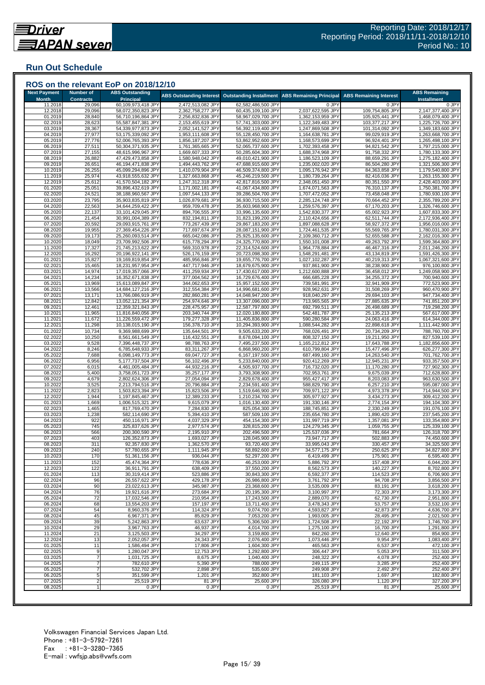#### **Run Out Schedule**

| <b>Next Payment</b> | <b>Number of</b> | <b>ABS Outstanding</b>                   |                                        |                                          |                                        |                                    | <b>ABS Remaining</b>                   |
|---------------------|------------------|------------------------------------------|----------------------------------------|------------------------------------------|----------------------------------------|------------------------------------|----------------------------------------|
| <b>Month</b>        | <b>Contracts</b> | <b>Principal</b>                         | <b>ABS Outstanding Interest</b>        | <b>Outstanding Installment</b>           | <b>ABS Remaining Principal</b>         | <b>ABS Remaining Interest</b>      | <b>Installment</b>                     |
| 11.2018             | 29,096           | 60,109,973,418 JPY                       | 2,472,513,082 JPY                      | 62,582,486,500 JPY                       | 0 JPY                                  | 0 JPY                              | 0 JPY                                  |
| 12.2018             | 29,096           | 58,072,350,823 JPY                       | 2,362,758,277 JPY                      | 60,435,109,100 JPY                       | 2,037,622,595 JPY                      | 109,754,805 JPY                    | 2,147,377,400 JPY                      |
| 01.2019<br>02.2019  | 28,840<br>28,623 | 56,710,196,864 JPY<br>55,587,847,381 JPY | 2,256,832,836 JPY<br>2,153,455,619 JPY | 58,967,029,700 JPY<br>57,741,303,000 JPY | 1,362,153,959 JPY<br>1,122,349,483 JPY | 105,925,441 JPY<br>103,377,217 JPY | 1,468,079,400 JPY<br>1,225,726,700 JPY |
| 03.2019             | 28,367           | 54,339,977,873 JPY                       | 2,052,141,527 JPY                      | 56,392,119,400 JPY                       | 1,247,869,508 JPY                      | 101,314,092 JPY                    | 1,349,183,600 JPY                      |
| 04.2019             | 27,977           | 53,175,339,092 JPY                       | 1,953,111,608 JPY                      | 55,128,450,700 JPY                       | 1,164,638,781 JPY                      | 99,029,919 JPY                     | 1,263,668,700 JPY                      |
| 05.2019             | 27,776           | 52,006,765,393 JPY                       | 1,856,187,207 JPY                      | 53,862,952,600 JPY                       | 1,168,573,699 JPY                      | 96,924,401 JPY                     | 1,265,498,100 JPY                      |
| 06.2019             | 27,511           | 50,304,371,935 JPY                       | 1,761,365,665 JPY                      | 52,065,737,600 JPY                       | 1,702,393,458 JPY                      | 94,821,542 JPY                     | 1,797,215,000 JPY                      |
| 07.2019             | 27,155           | 48,615,996,967 JPY                       | 1,669,607,333 JPY                      | 50,285,604,300 JPY                       | 1,688,374,968 JPY                      | 91,758,332 JPY                     | 1,780,133,300 JPY                      |
| 08.2019             | 26,882           | 47,429,473,858 JPY                       | 1,580,948,042 JPY                      | 49,010,421,900 JPY                       | 1,186,523,109 JPY                      | 88,659,291 JPY                     | 1,275,182,400 JPY                      |
| 09.2019<br>10.2019  | 26,651<br>26,255 | 46,194,471,838 JPY<br>45,099,294,896 JPY | 1,494,443,762 JPY<br>1,410,079,904 JPY | 47,688,915,600 JPY<br>46,509,374,800 JPY | 1,235,002,020 JPY<br>1,095,176,942 JPY | 86,504,280 JPY<br>84,363,858 JPY   | 1,321,506,300 JPY<br>1,179,540,800 JPY |
| 11.2019             | 25,974           | 43,918,555,632 JPY                       | 1,327,663,868 JPY                      | 45,246,219,500 JPY                       | 1,180,739,264 JPY                      | 82,416,036 JPY                     | 1,263,155,300 JPY                      |
| 12.2019             | 25,612           | 41.570.504.182 JPY                       | 1,247,312,318 JPY                      | 42,817,816,500 JPY                       | 2,348,051,450 JPY                      | 80,351,550 JPY                     | 2,428,403,000 JPY                      |
| 01.2020             | 25,051           | 39,896,432,619 JPY                       | 1,171,002,181 JPY                      | 41,067,434,800 JPY                       | 1,674,071,563 JPY                      | 76,310,137 JPY                     | 1,750,381,700 JPY                      |
| 02.2020             | 24,521           | 38,188,960,567 JPY                       | 1,097,544,133 JPY                      | 39,286,504,700 JPY                       | 1,707,472,052 JPY                      | 73,458,048 JPY                     | 1,780,930,100 JPY                      |
| 03.2020             | 23,795           | 35,903,835,819 JPY                       | 1,026,879,681 JPY                      | 36,930,715,500 JPY                       | 2,285,124,748 JPY                      | 70,664,452 JPY                     | 2,355,789,200 JPY                      |
| 04.2020             | 22,563           | 34,644,259,422 JPY                       | 959,709,478 JPY                        | 35,603,968,900 JPY                       | 1,259,576,397 JPY                      | 67,170,203 JPY                     | 1,326,746,600 JPY                      |
| 05.2020             | 22,137           | 33,101,429,045 JPY                       | 894,706,555 JPY                        | 33,996,135,600 JPY                       | 1,542,830,377 JPY                      | 65,002,923 JPY                     | 1,607,833,300 JPY                      |
| 06.2020<br>07.2020  | 21,454<br>20,592 | 30,991,004,389 JPY<br>29,093,915,761 JPY | 832,194,811 JPY<br>773,267,439 JPY     | 31,823,199,200 JPY<br>29,867,183,200 JPY | 2,110,424,656 JPY<br>1,897,088,628 JPY | 62,511,744 JPY<br>58,927,372 JPY   | 2,172,936,400 JPY<br>1,956,016,000 JPY |
| 08.2020             | 19,955           | 27,369,454,226 JPY                       | 717,697,674 JPY                        | 28,087,151,900 JPY                       | 1,724,461,535 JPY                      | 55,569,765 JPY                     | 1,780,031,300 JPY                      |
| 09.2020             | 19,173           | 25,260,093,514 JPY                       | 665,042,086 JPY                        | 25,925,135,600 JPY                       | 2,109,360,712 JPY                      | 52,655,588 JPY                     | 2,162,016,300 JPY                      |
| 10.2020             | 18,049           | 23,709,992,506 JPY                       | 615,778,294 JPY                        | 24,325,770,800 JPY                       | 1,550,101,008 JPY                      | 49,263,792 JPY                     | 1,599,364,800 JPY                      |
| 11.2020             | 17,327           | 21,745,213,622 JPY                       | 569,310,978 JPY                        | 22,314,524,600 JPY                       | 1,964,778,884 JPY                      | 46,467,316 JPY                     | 2,011,246,200 JPY                      |
| 12.2020             | 16,292           | 20,196,922,141 JPY                       | 526,176,159 JPY                        | 20,723,098,300 JPY                       | 1,548,291,481 JPY                      | 43,134,819 JPY                     | 1,591,426,300 JPY                      |
| 01.2021             | 15,827           | 19,169,819,854 JPY                       | 485,956,846 JPY                        | 19,655,776,700 JPY                       | 1,027,102,287 JPY                      | 40,219,313 JPY                     | 1,067,321,600 JPY                      |
| 02.2021             | 15,465           | 18,231,957,954 JPY                       | 447,717,946 JPY                        | 18,679,675,900 JPY                       | 937,861,900 JPY                        | 38,238,900 JPY                     | 976,100,800 JPY                        |
| 03.2021<br>04.2021  | 14,974<br>14,234 | 17,019,357,066 JPY<br>16,352,671,838 JPY | 411,259,934 JPY<br>377,004,562 JPY     | 17,430,617,000 JPY<br>16,729,676,400 JPY | 1,212,600,888 JPY<br>666,685,228 JPY   | 36,458,012 JPY<br>34,255,372 JPY   | 1,249,058,900 JPY<br>700,940,600 JPY   |
| 05.2021             | 13,969           | 15,613,089,847 JPY                       | 344,062,653 JPY                        | 15,957,152,500 JPY                       | 739,581,991 JPY                        | 32,941,909 JPY                     | 772,523,900 JPY                        |
| 06.2021             | 13,566           | 14,684,127,216 JPY                       | 312,554,384 JPY                        | 14,996,681,600 JPY                       | 928,962,631 JPY                        | 31,508,269 JPY                     | 960,470,900 JPY                        |
| 07.2021             | 13,171           | 13,766,086,919 JPY                       | 282,860,281 JPY                        | 14,048,947,200 JPY                       | 918,040,297 JPY                        | 29,694,103 JPY                     | 947,734,400 JPY                        |
| 08.2021             | 12,842           | 13,052,121,354 JPY                       | 254,974,646 JPY                        | 13,307,096,000 JPY                       | 713,965,565 JPY                        | 27,885,635 JPY                     | 741,851,200 JPY                        |
| 09.2021             | 12,461           | 12,359,321,843 JPY                       | 228,475,957 JPY                        | 12,587,797,800 JPY                       | 692,799,511 JPY                        | 26,498,689 JPY                     | 719,298,200 JPY                        |
| 10.2021             | 11,965           | 11,816,840,056 JPY                       | 203,340,744 JPY                        | 12,020,180,800 JPY                       | 542,481,787 JPY                        | 25,135,213 JPY                     | 567,617,000 JPY                        |
| 11.2021             | 11,672           | 11,226,559,472 JPY                       | 179,277,328 JPY                        | 11,405,836,800 JPY                       | 590,280,584 JPY                        | 24,063,416 JPY                     | 614,344,000 JPY                        |
| 12.2021<br>01.2022  | 11,298<br>10,734 | 10,138,015,190 JPY<br>9,369,988,699 JPY  | 156,378,710 JPY<br>135,644,501 JPY     | 10,294,393,900 JPY<br>9,505,633,200 JPY  | 1,088,544,282 JPY<br>768,026,491 JPY   | 22,898,618 JPY<br>20,734,209 JPY   | 1,111,442,900 JPY<br>788,760,700 JPY   |
| 02.2022             | 10,250           | 8,561,661,549 JPY                        | 116,432,551 JPY                        | 8,678,094,100 JPY                        | 808,327,150 JPY                        | 19,211,950 JPY                     | 827,539,100 JPY                        |
| 03.2022             | 9,528            | 7,396,448,737 JPY                        | 98,788,763 JPY                         | 7,495,237,500 JPY                        | 1,165,212,812 JPY                      | 17,643,788 JPY                     | 1,182,856,600 JPY                      |
| 04.2022             | 8,246            | 6,785,648,933 JPY                        | 83,311,267 JPY                         | 6,868,960,200 JPY                        | 610,799,804 JPY                        | 15,477,496 JPY                     | 626,277,300 JPY                        |
| 05.2022             | 7,688            | 6,098,149,773 JPY                        | 69,047,727 JPY                         | 6,167,197,500 JPY                        | 687,499,160 JPY                        | 14,263,540 JPY                     | 701,762,700 JPY                        |
| 06.202              | 6,956            | 5,177,737,504 JPY                        | 56,102,496 JPY                         | 5,233,840,000 JPY                        | 920,412,269 JPY                        | 12,945,231 JPY                     | 933,357,500 JPY                        |
| 07.202              | 6,015            | 4,461,005,484 JP\                        | 44,932,216 JPY                         | 4,505,937,700 JPY                        | 716,732,020 JPY                        | 11,170,280 JPY                     | 727,902,300 JPY<br>712,628,800 JPY     |
| 08.2022<br>09.2022  | 5,400<br>4,679   | 3,758,051,723 JPY<br>2,802,624,306 JPY   | 35,257,177 JPY<br>27,054,094 JPY       | 3,793,308,900 JPY<br>2,829,678,400 JPY   | 702,953,761 JPY<br>955,427,417 JPY     | 9,675,039 JPY<br>8,203,083 JPY     | 963,630,500 JPY                        |
| 10.2022             | 3,525            | 2,213,794,516 JPY                        | 20,796,884 JPY                         | 2,234,591,400 JPY                        | 588,829,790 JPY                        | 6,257,210 JPY                      | 595,087,000 JPY                        |
| 11.2022             | 2,823            | 1,503,823,394 JPY                        | 15,823,506 JPY                         | 1,519,646,900 JPY                        | 709,971,122 JPY                        | 4,973,378 JPY                      | 714,944,500 JPY                        |
| 12.2022             | 1,944            | 1,197,845,467 JPY                        | 12,389,233 JPY                         | 1,210,234,700 JPY                        | 305,977,927 JPY                        | 3,434,273 JPY                      | 309,412,200 JPY                        |
| 01.2023             | 1,669            | 1,006,515,321 JPY                        | 9,615,079 JPY                          | 1,016,130,400 JPY                        | 191,330,146 JPY                        | 2,774,154 JPY                      | 194,104,300 JPY                        |
| 02.2023             | 1,465            | 817,769,470 JPY                          | 7,284,830 JPY                          | 825,054,300 JPY                          | 188,745,851 JPY                        | 2,330,249 JPY                      | 191,076,100 JPY                        |
| 03.2023             | 1,238            | 582,114,690 JPY                          | 5,394,410 JPY                          | 587,509,100 JPY<br>454,154,300 JPY       | 235,654,780 JPY                        | 1,890,420 JPY                      | 237,545,200 JPY                        |
| 04.2023<br>05.2023  | 922<br>745       | 450,116,971 JPY<br>325,837,626 JPY       | 4,037,329 JPY<br>2,977,574 JPY         | 328,815,200 JPY                          | 131,997,719 JPY<br>124,279,345 JPY     | 1,357,081 JPY<br>1,059,755 JPY     | 133,354,800 JPY<br>125,339,100 JPY     |
| 06.2023             | 566              | 200,300,590 JPY                          | 2,195,910 JPY                          | 202,496,500 JPY                          | 125,537,036 JPY                        | 781,664 JPY                        | 126,318,700 JPY                        |
| 07.2023             | 403              | 126,352,873 JPY                          | 1,693,027 JPY                          | 128,045,900 JPY                          | 73,947,717 JPY                         | 502,883 JPY                        | 74,450,600 JPY                         |
| 08.2023             | 311              | 92,357,830 JPY                           | 1,362,570 JPY                          | 93,720,400 JPY                           | 33,995,043 JPY                         | 330,457 JPY                        | 34,325,500 JPY                         |
| 09.2023             | 240              | 57,780,655 JPY                           | 1,111,945 JPY                          | 58,892,600 JPY                           | 34,577,175 JPY                         | 250,625 JPY                        | 34,827,800 JPY                         |
| 10.2023             | 170              | 51,361,156 JPY                           | 936,044 JPY                            | 52,297,200 JPY                           | 6,419,499 JPY                          | 175,901 JPY                        | 6,595,400 JPY                          |
| 11.2023             | 152              | 45,474,364 JPY                           | 778,636 JPY                            | 46,253,000 JPY                           | 5,886,792 JPY                          | 157,408 JPY                        | 6,044,200 JPY                          |
| 12.2023<br>01.2024  | 122<br>113       | 36,911,791 JPY<br>30,319,414 JPY         | 638,409 JPY<br>523,886 JPY             | 37,550,200 JPY<br>30,843,300 JPY         | 8,562,573 JPY<br>6,592,377 JPY         | 140,227 JPY<br>114,523 JPY         | 8,702,800 JPY<br>6,706,900 JPY         |
| 02.2024             | 96               | 26,557,622 JPY                           | 429,178 JPY                            | 26.986.800 JPY                           | 3,761,792 JPY                          | 94,708 JPY                         | 3,856,500 JPY                          |
| 03.2024             | 90               | 23,022,613 JPY                           | 345,987 JPY                            | 23,368,600 JPY                           | 3,535,009 JPY                          | 83,191 JPY                         | 3,618,200 JPY                          |
| 04.2024             | 76               | 19,921,616 JPY                           | 273,684 JPY                            | 20, 195, 300 JPY                         | 3,100,997 JPY                          | 72,303 JPY                         | 3,173,300 JPY                          |
| 05.2024             | 72               | 17,032,546 JPY                           | 210,954 JPY                            | 17,243,500 JPY                           | 2,889,070 JPY                          | 62,730 JPY                         | 2,951,800 JPY                          |
| 06.2024             | 68               | 13,554,203 JPY                           | 157,197 JPY                            | 13,711,400 JPY                           | 3,478,343 JPY                          | 53,757 JPY                         | 3,532,100 JPY                          |
| 07.2024             | 54               | 8,960,376 JPY                            | 114,324 JPY                            | 9,074,700 JPY                            | 4,593,827 JPY                          | 42,873 JPY                         | 4,636,700 JPY                          |
| 08.2024             | 45               | 6,967,371 JPY                            | 85,829 JPY                             | 7,053,200 JPY                            | 1,993,005 JPY                          | 28,495 JPY                         | 2,021,500 JPY                          |
| 09.2024<br>10.2024  | 39<br>29         | 5,242,863 JPY<br>3,967,763 JPY           | 63,637 JPY<br>46,937 JPY               | 5,306,500 JPY<br>4,014,700 JPY           | 1,724,508 JPY<br>1,275,100 JPY         | 22,192 JPY<br>16,700 JPY           | 1,746,700 JPY<br>1,291,800 JPY         |
| 11.2024             | 21               | 3,125,503 JPY                            | 34,297 JPY                             | 3,159,800 JPY                            | 842,260 JPY                            | 12,640 JPY                         | 854,900 JPY                            |
| 12.2024             | 13               | 2,052,057 JPY                            | 24,343 JPY                             | 2,076,400 JPY                            | 1,073,446 JPY                          | 9,954 JPY                          | 1,083,400 JPY                          |
| 01.2025             | 11               | 1,586,494 JPY                            | 17,806 JPY                             | 1,604,300 JPY                            | 465,563 JPY                            | 6,537 JPY                          | 472,100 JPY                            |
| 02.2025             | 9                | 1,280,047 JPY                            | 12,753 JPY                             | 1,292,800 JPY                            | 306,447 JPY                            | 5,053 JPY                          | 311,500 JPY                            |
| 03.2025             |                  | 1,031,725 JPY                            | 8,675 JPY                              | 1,040,400 JPY                            | 248,322 JPY                            | 4,078 JPY                          | 252,400 JPY                            |
| 04.2025             |                  | 782,610 JPY                              | 5,390 JPY                              | 788,000 JPY                              | 249,115 JPY                            | 3,285 JPY                          | 252,400 JPY                            |
| 05.2025             |                  | 532,702 JPY                              | 2,898 JPY                              | 535,600 JPY                              | 249,908 JPY                            | 2,492 JPY                          | 252,400 JPY                            |
| 06.2025             | 5                | 351,599 JPY                              | 1,201 JPY                              | 352,800 JPY                              | 181,103 JPY                            | 1,697 JPY                          | 182,800 JPY                            |
| 07.2025             | $\overline{2}$   | 25,519 JPY                               | 81 JPY                                 | 25,600 JPY                               | 326,080 JPY                            | 1,120 JPY                          | 327,200 JPY<br>25,600 JPY              |
| 08.2025             |                  | 0 JPY                                    | 0 JPY                                  | 0 JPY                                    | 25,519 JPY                             | 81 JPY                             |                                        |

###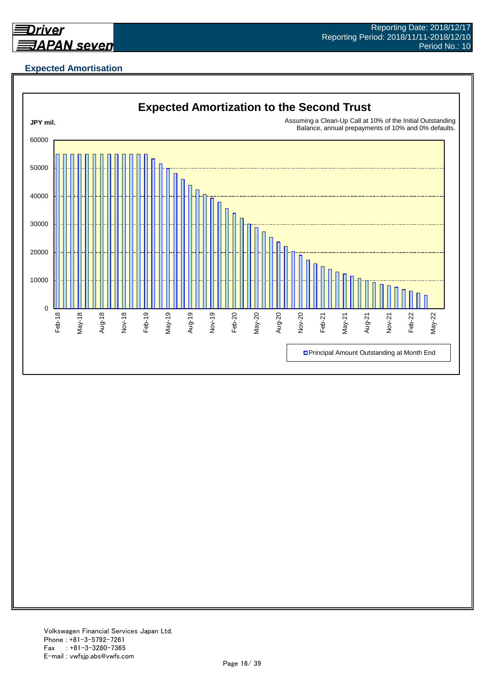

## **Expected Amortisation**

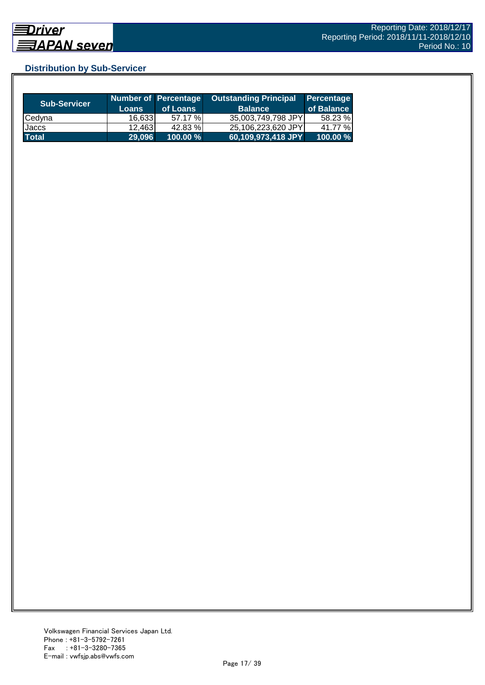## **Distribution by Sub-Servicer**

| <b>Sub-Servicer</b> | <b>Loans</b> | Number of Percentage<br>of Loans | <b>Outstanding Principal</b><br><b>Balance</b> | Percentage<br>of Balance |
|---------------------|--------------|----------------------------------|------------------------------------------------|--------------------------|
| Cedyna              | 16.6331      | 57.17 %                          | 35,003,749,798 JPY                             | 58.23 %                  |
| Jaccs               | 12,463       | 42.83 %                          | 25,106,223,620 JPY                             | 41.77 %                  |
| <b>Total</b>        | 29.096       | $100.00 \%$                      | 60,109,973,418 JPY                             | 100.00 %                 |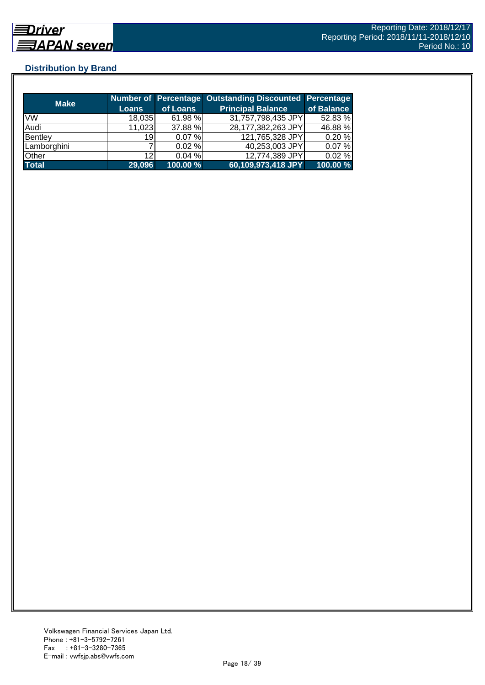## **Distribution by Brand**

|              |        |             | Number of Percentage Outstanding Discounted Percentage |            |
|--------------|--------|-------------|--------------------------------------------------------|------------|
| <b>Make</b>  | Loans  | of Loans    | <b>Principal Balance</b>                               | of Balance |
| <b>VW</b>    | 18,035 | 61.98 %     | 31,757,798,435 JPY                                     | 52.83 %    |
| Audi         | 11,023 | 37.88 %     | 28,177,382,263 JPY                                     | 46.88 %    |
| Bentley      | 19     | 0.07%       | 121,765,328 JPY                                        | 0.20%      |
| Lamborghini  |        | $0.02 \%$   | 40,253,003 JPY                                         | 0.07%      |
| Other        | 12     | 0.04%       | 12,774,389 JPY                                         | 0.02%      |
| <b>Total</b> | 29,096 | $100.00 \%$ | 60,109,973,418 JPY                                     | 100.00 %   |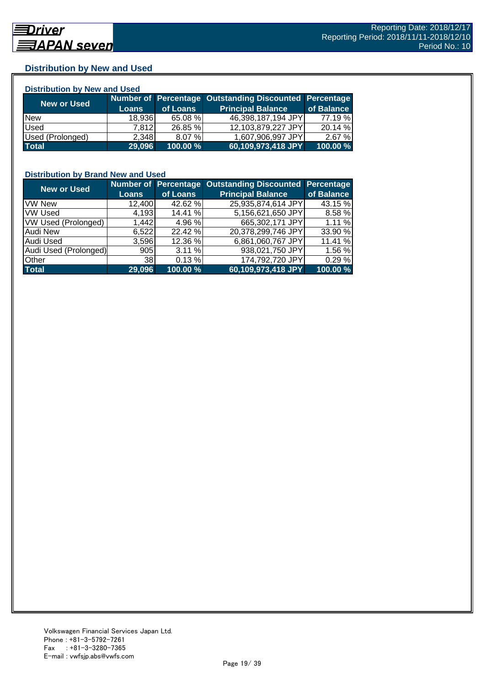#### **Distribution by New and Used**

| <b>Distribution by New and Used</b> |              |          |                                                        |            |  |  |
|-------------------------------------|--------------|----------|--------------------------------------------------------|------------|--|--|
| New or Used                         |              |          | Number of Percentage Outstanding Discounted Percentage |            |  |  |
|                                     | <b>Loans</b> | of Loans | <b>Principal Balance</b>                               | of Balance |  |  |
| <b>New</b>                          | 18,936       | 65.08 %  | 46,398,187,194 JPY                                     | 77.19 %    |  |  |
| Used                                | 7.812        | 26.85 %  | 12,103,879,227 JPY                                     | 20.14 %    |  |  |
| Used (Prolonged)                    | 2,348        | 8.07%    | 1,607,906,997 JPY                                      | 2.67%      |  |  |
| <b>Total</b>                        | 29,096       | 100.00 % | 60,109,973,418 JPY                                     | 100.00 %   |  |  |

#### **Distribution by Brand New and Used**

| <b>New or Used</b>         |              |          | Number of Percentage Outstanding Discounted Percentage |            |
|----------------------------|--------------|----------|--------------------------------------------------------|------------|
|                            | <b>Loans</b> | of Loans | <b>Principal Balance</b>                               | of Balance |
| <b>VW New</b>              | 12,400       | 42.62 %  | 25,935,874,614 JPY                                     | 43.15 %    |
| <b>VW Used</b>             | 4,193        | 14.41 %  | 5,156,621,650 JPY                                      | 8.58 %     |
| <b>VW Used (Prolonged)</b> | 1,442        | 4.96 %   | 665,302,171 JPY                                        | 1.11%      |
| Audi New                   | 6,522        | 22.42 %  | 20,378,299,746 JPY                                     | 33.90 %    |
| <b>Audi Used</b>           | 3,596        | 12.36 %  | 6,861,060,767 JPY                                      | 11.41 %    |
| Audi Used (Prolonged)      | 905          | 3.11%    | 938,021,750 JPY                                        | 1.56 %     |
| <b>Other</b>               | 38           | 0.13%    | 174,792,720 JPY                                        | 0.29 %     |
| <b>Total</b>               | 29,096       | 100.00 % | 60,109,973,418 JPY                                     | 100.00 %   |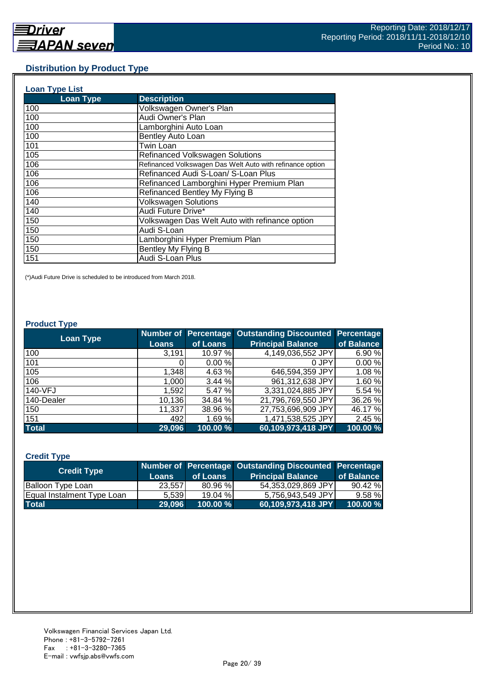#### **Distribution by Product Type**

| <b>Loan Type List</b> |                                                           |
|-----------------------|-----------------------------------------------------------|
| <b>Loan Type</b>      | <b>Description</b>                                        |
| 100                   | Volkswagen Owner's Plan                                   |
| 100                   | Audi Owner's Plan                                         |
| 100                   | Lamborghini Auto Loan                                     |
| 100                   | Bentley Auto Loan                                         |
| 101                   | Twin Loan                                                 |
| 105                   | <b>Refinanced Volkswagen Solutions</b>                    |
| 106                   | Refinanced Volkswagen Das Welt Auto with refinance option |
| 106                   | Refinanced Audi S-Loan/ S-Loan Plus                       |
| 106                   | Refinanced Lamborghini Hyper Premium Plan                 |
| 106                   | Refinanced Bentley My Flying B                            |
| 140                   | <b>Volkswagen Solutions</b>                               |
| 140                   | Audi Future Drive*                                        |
| 150                   | Volkswagen Das Welt Auto with refinance option            |
| 150                   | Audi S-Loan                                               |
| 150                   | Lamborghini Hyper Premium Plan                            |
| 150                   | Bentley My Flying B                                       |
| 151                   | Audi S-Loan Plus                                          |

(\*)Audi Future Drive is scheduled to be introduced from March 2018.

#### **Product Type**

| <b>Loan Type</b> |              |          | <b>Number of Percentage Outstanding Discounted</b> | <b>Percentage</b> |
|------------------|--------------|----------|----------------------------------------------------|-------------------|
|                  | <b>Loans</b> | of Loans | <b>Principal Balance</b>                           | of Balance        |
| 100              | 3,191        | 10.97 %  | 4,149,036,552 JPY                                  | 6.90%             |
| 101              |              | 0.00%    | 0 JPY                                              | 0.00%             |
| 105              | 1,348        | 4.63 %   | 646,594,359 JPY                                    | 1.08 %            |
| 106              | 1,000        | 3.44%    | 961,312,638 JPY                                    | 1.60%             |
| 140-VFJ          | 1,592        | 5.47 %   | 3,331,024,885 JPY                                  | 5.54 %            |
| 140-Dealer       | 10,136       | 34.84 %  | 21,796,769,550 JPY                                 | 36.26 %           |
| 150              | 11,337       | 38.96 %  | 27,753,696,909 JPY                                 | 46.17 %           |
| 151              | 492          | 1.69%    | 1,471,538,525 JPY                                  | 2.45 %            |
| <b>Total</b>     | 29,096       | 100.00 % | 60,109,973,418 JPY                                 | 100.00 %          |

#### **Credit Type**

| <b>Credit Type</b>         |              |             | Number of Percentage Outstanding Discounted Percentage |            |
|----------------------------|--------------|-------------|--------------------------------------------------------|------------|
|                            | <b>Loans</b> | of Loans    | <b>Principal Balance</b>                               | of Balance |
| <b>Balloon Type Loan</b>   | 23.5571      | 80.96 %     | 54.353.029.869 JPYI                                    | 90.42%     |
| Equal Instalment Type Loan | 5.539        | 19.04%      | 5.756.943.549 JPY                                      | 9.58%      |
| <b>Total</b>               | 29.096       | $100.00 \%$ | 60,109,973,418 JPY                                     | 100.00 %   |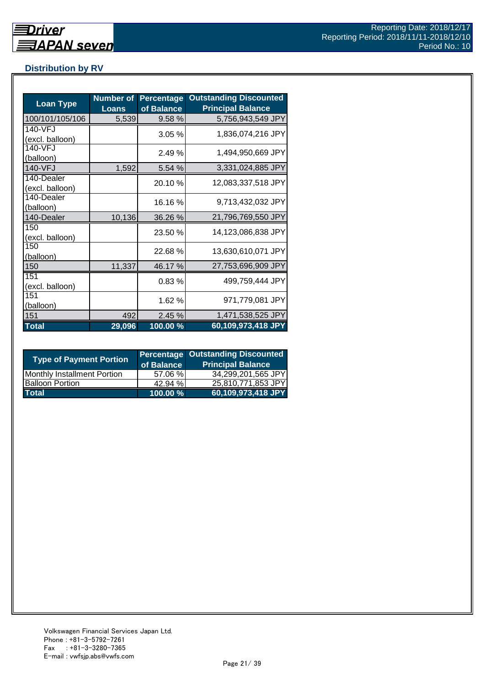## **Distribution by RV**

| <b>Loan Type</b>              | <b>Number of</b><br><b>Loans</b> | <b>Percentage</b><br>of Balance | <b>Outstanding Discounted</b><br><b>Principal Balance</b> |
|-------------------------------|----------------------------------|---------------------------------|-----------------------------------------------------------|
| 100/101/105/106               | 5,539                            | 9.58%                           | 5,756,943,549 JPY                                         |
| 140-VFJ<br>(excl. balloon)    |                                  | 3.05%                           | 1,836,074,216 JPY                                         |
| 140-VFJ<br>(balloon)          |                                  | 2.49 %                          | 1,494,950,669 JPY                                         |
| 140-VFJ                       | 1,592                            | 5.54 %                          | 3,331,024,885 JPY                                         |
| 140-Dealer<br>(excl. balloon) |                                  | 20.10 %                         | 12,083,337,518 JPY                                        |
| 140-Dealer<br>(balloon)       |                                  | 16.16%                          | 9,713,432,032 JPY                                         |
| 140-Dealer                    | 10,136                           | 36.26 %                         | 21,796,769,550 JPY                                        |
| 150<br>(excl. balloon)        |                                  | 23.50 %                         | 14,123,086,838 JPY                                        |
| 150<br>(balloon)              |                                  | 22.68%                          | 13,630,610,071 JPY                                        |
| 150                           | 11,337                           | 46.17%                          | 27,753,696,909 JPY                                        |
| 151<br>(excl. balloon)        |                                  | 0.83%                           | 499,759,444 JPY                                           |
| 151<br>(balloon)              |                                  | 1.62 %                          | 971,779,081 JPY                                           |
| 151                           | 492                              | 2.45 %                          | 1,471,538,525 JPY                                         |
| <b>Total</b>                  | 29,096                           | 100.00%                         | 60,109,973,418 JPY                                        |

| <b>Type of Payment Portion</b>     | of Balance | <b>Percentage Outstanding Discounted</b><br><b>Principal Balance</b> |
|------------------------------------|------------|----------------------------------------------------------------------|
| <b>Monthly Installment Portion</b> | 57.06 %    | 34,299,201,565 JPY                                                   |
| <b>Balloon Portion</b>             | 42.94 %    | 25,810,771,853 JPY                                                   |
| <b>Total</b>                       | 100.00 %   | 60,109,973,418 JPY                                                   |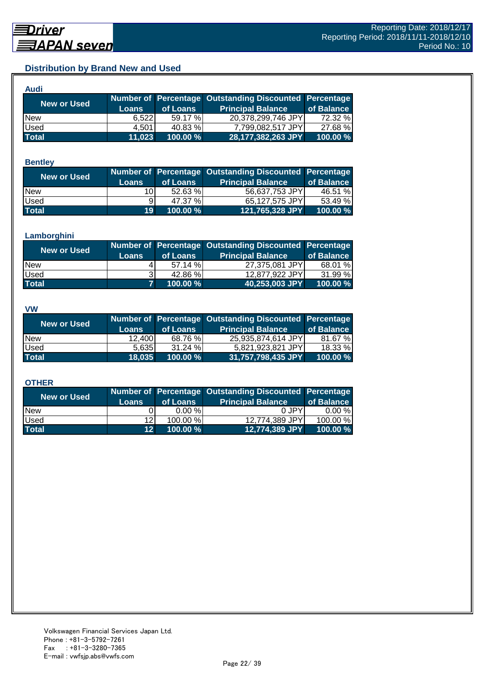## **Distribution by Brand New and Used**

| Audi         |        |          |                                                        |            |
|--------------|--------|----------|--------------------------------------------------------|------------|
| New or Used  |        |          | Number of Percentage Outstanding Discounted Percentage |            |
|              | Loans  | of Loans | <b>Principal Balance</b>                               | of Balance |
| <b>New</b>   | 6.522  | 59.17 %  | 20,378,299,746 JPY                                     | 72.32 %    |
| Used         | 4.501  | 40.83 %  | 7,799,082,517 JPY                                      | 27.68 %    |
| <b>Total</b> | 11,023 | 100.00%  | 28,177,382,263 JPY                                     | 100.00 %   |

#### **Bentley**

| <b>New or Used</b> | <b>Loans</b>    | of Loans | Number of Percentage Outstanding Discounted Percentage<br><b>Principal Balance</b> | of Balance |
|--------------------|-----------------|----------|------------------------------------------------------------------------------------|------------|
| <b>New</b>         | 10I             | 52.63 %  | 56,637,753 JPY                                                                     | 46.51 %    |
| <b>Used</b>        | 91              | 47.37 %  | 65,127,575 JPY                                                                     | 53.49 %    |
| <b>Total</b>       | 19 <sup>°</sup> | 100.00 % | 121,765,328 JPY                                                                    | 100.00 %   |

#### **Lamborghini**

| <b>New or Used</b> | <b>Loans</b> | of Loans | Number of Percentage Outstanding Discounted Percentage<br><b>Principal Balance</b> | of Balance |
|--------------------|--------------|----------|------------------------------------------------------------------------------------|------------|
| <b>New</b>         |              | 57.14 %  | 27,375,081 JPY                                                                     | 68.01 %    |
| <b>Used</b>        |              | 42.86 %  | 12.877.922 JPY                                                                     | 31.99%     |
| <b>Total</b>       |              | 100.00 % | 40,253,003 JPY                                                                     | 100.00 %   |

#### **VW**

| <b>New or Used</b> |              |          | Number of Percentage Outstanding Discounted Percentage |            |
|--------------------|--------------|----------|--------------------------------------------------------|------------|
|                    | <b>Loans</b> | of Loans | <b>Principal Balance</b>                               | of Balance |
| <b>New</b>         | 12,400       | 68.76 %  | 25,935,874,614 JPY                                     | 81.67 %    |
| <b>Used</b>        | 5.635        | 31.24%   | 5,821,923,821 JPY                                      | 18.33 %    |
| <b>Total</b>       | 18,035       | 100.00 % | 31,757,798,435 JPY                                     | 100.00 %   |

#### **OTHER**

| <b>New or Used</b> | <b>Loans</b>    | of Loans | Number of Percentage Outstanding Discounted Percentage<br><b>Principal Balance</b> | of Balance |
|--------------------|-----------------|----------|------------------------------------------------------------------------------------|------------|
| <b>New</b>         |                 | 0.00%    | 0 JPY                                                                              | $0.00 \%$  |
| Used               | 12 <sub>l</sub> | 100.00 % | 12,774,389 JPY                                                                     | 100.00 %   |
| <b>Total</b>       | 12 <sup>1</sup> | 100.00 % | 12,774,389 JPY                                                                     | 100.00 %   |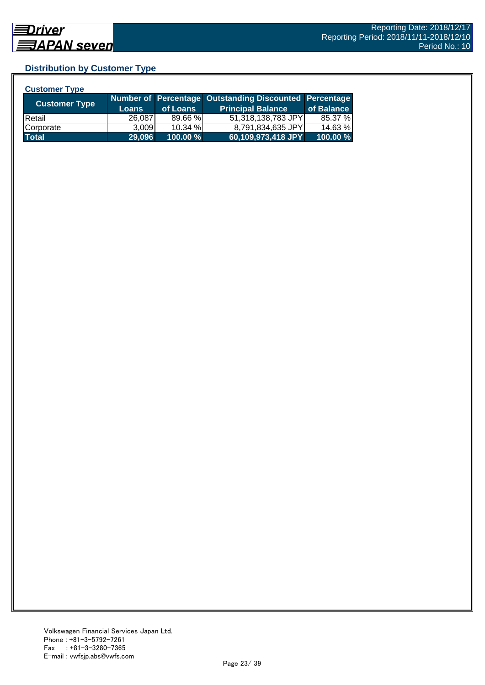## **Distribution by Customer Type**

| <b>Customer Type</b> |              |          |                                                        |            |
|----------------------|--------------|----------|--------------------------------------------------------|------------|
|                      |              |          | Number of Percentage Outstanding Discounted Percentage |            |
| <b>Customer Type</b> | <b>Loans</b> | of Loans | <b>Principal Balance</b>                               | of Balance |
| <b>IRetail</b>       | 26,087       | 89.66 %  | 51,318,138,783 JPY                                     | 85.37 %    |
| Corporate            | 3.009        | 10.34 %  | 8,791,834,635 JPY                                      | 14.63 %    |
| <b>Total</b>         | 29,096       | 100.00 % | 60,109,973,418 JPY                                     | 100.00 %   |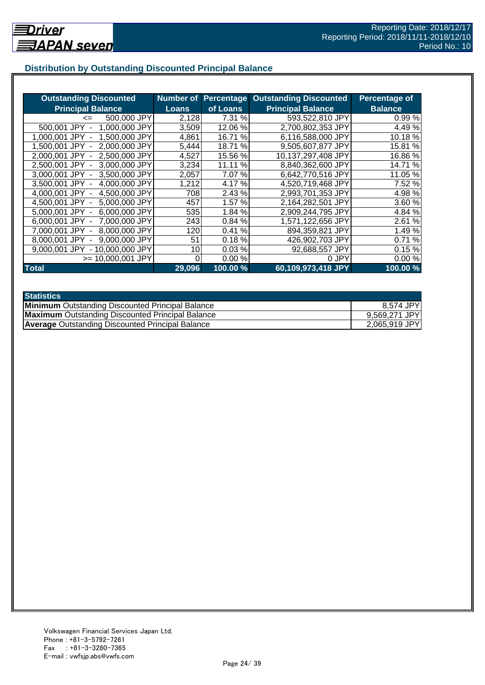## **Distribution by Outstanding Discounted Principal Balance**

| <b>Outstanding Discounted</b>     | <b>Number of</b> | Percentage | <b>Outstanding Discounted</b> | Percentage of  |
|-----------------------------------|------------------|------------|-------------------------------|----------------|
| <b>Principal Balance</b>          | <b>Loans</b>     | of Loans   | <b>Principal Balance</b>      | <b>Balance</b> |
| 500,000 JPY<br>$\leq$             | 2,128            | 7.31 %     | 593,522,810 JPY               | 0.99%          |
| 500,001 JPY<br>1.000.000 JPY      | 3,509            | 12.06%     | 2,700,802,353 JPY             | 4.49 %         |
| 1.500,000 JPY<br>1.000.001 JPY    | 4,861            | 16.71 %    | 6,116,588,000 JPY             | 10.18%         |
| 2,000,000 JPY<br>1.500.001 JPY -  | 5,444            | 18.71 %    | 9,505,607,877 JPY             | 15.81 %        |
| 2,000,001 JPY -<br>2.500,000 JPY  | 4,527            | 15.56 %    | 10,137,297,408 JPY            | 16.86 %        |
| 2,500,001 JPY -<br>3,000,000 JPY  | 3,234            | 11.11 %    | 8,840,362,600 JPY             | 14.71 %        |
| 3,000,001 JPY -<br>3,500,000 JPY  | 2,057            | 7.07 %     | 6,642,770,516 JPY             | 11.05 %        |
| 4,000,000 JPY<br>3,500,001 JPY -  | 1,212            | 4.17 %     | 4,520,719,468 JPY             | 7.52 %         |
| 4,500,000 JPY<br>4.000.001 JPY -  | 708              | 2.43 %     | 2,993,701,353 JPY             | 4.98 %         |
| 5,000,000 JPY<br>4.500.001 JPY -  | 457              | 1.57 %     | 2,164,282,501 JPY             | 3.60 %         |
| 6,000,000 JPY<br>5.000.001 JPY -  | 535              | 1.84 %     | 2,909,244,795 JPY             | 4.84 %         |
| 7,000,000 JPY<br>6.000.001 JPY -  | 243              | 0.84 %     | 1,571,122,656 JPY             | 2.61 %         |
| 8,000,000 JPY<br>7.000.001 JPY    | 120              | %<br>0.41  | 894,359,821 JPY               | 1.49 %         |
| 9,000,000 JPY<br>8.000.001 JPY    | 51               | 0.18%      | 426,902,703 JPY               | 0.71%          |
| - 10,000,000 JPY<br>9.000.001 JPY | 10               | 0.03%      | 92,688,557 JPY                | 0.15%          |
| $>= 10,000,001$ JPY               |                  | 0.00%      | 0 JPY                         | 0.00%          |
| <b>Total</b>                      | 29,096           | 100.00 %   | 60,109,973,418 JPY            | 100.00 %       |

| <b>Statistics</b>                                       |               |
|---------------------------------------------------------|---------------|
| <b>Minimum</b> Outstanding Discounted Principal Balance | 8,574 JPY     |
| <b>Maximum</b> Outstanding Discounted Principal Balance | 9,569,271 JPY |
| <b>Average</b> Outstanding Discounted Principal Balance | 2,065,919 JPY |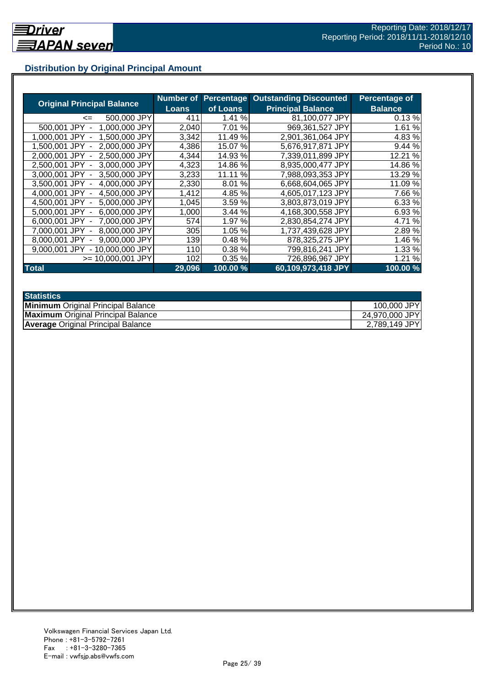## **Distribution by Original Principal Amount**

|                                           | Number of |               | <b>Percentage Outstanding Discounted</b> | <b>Percentage of</b> |
|-------------------------------------------|-----------|---------------|------------------------------------------|----------------------|
| <b>Original Principal Balance</b>         | Loans     | of Loans      | <b>Principal Balance</b>                 | <b>Balance</b>       |
| 500,000 JPY<br><=                         | 411       | 1.41 %        | 81,100,077 JPY                           | 0.13%                |
| 1,000,000 JPY<br>500,001 JPY              | 2,040     | 7.01<br>%     | 969,361,527 JPY                          | 1.61 %               |
| 1,500,000 JPY<br>1.000.001<br><b>JPY</b>  | 3,342     | 11.49 %       | 2,901,361,064 JPY                        | 4.83 %               |
| 2.000.000 JPY<br>1.500.001 JPY            | 4,386     | 15.07 %       | 5,676,917,871 JPY                        | 9.44%                |
| 2,500,000 JPY<br>2.000.001 JPY -          | 4,344     | 14.93 %       | 7,339,011,899 JPY                        | 12.21 %              |
| 2,500,001 JPY -<br>3,000,000 JPY          | 4,323     | 14.86%        | 8,935,000,477 JPY                        | 14.86 %              |
| 3,500,000 JPY<br>3.000.001 JPY -          | 3,233     | $\%$<br>11.11 | 7,988,093,353 JPY                        | 13.29 %              |
| 3,500,001 JPY -<br>4,000,000 JPY          | 2,330     | 8.01%         | 6,668,604,065 JPY                        | 11.09 %              |
| 4,500,000 JPY<br>4.000.001 JPY -          | 1,412     | 4.85 %        | 4,605,017,123 JPY                        | 7.66 %               |
| 4,500,001 JPY -<br>5,000,000 JPY          | 1,045     | 3.59 %        | 3,803,873,019 JPY                        | 6.33 %               |
| 6,000,000 JPY<br>5.000.001 JPY -          | 1,000     | 3.44 %        | 4,168,300,558 JPY                        | 6.93 %               |
| 7,000,000 JPY<br>6.000.001 JPY -          | 574       | 1.97 %        | 2,830,854,274 JPY                        | 4.71 %               |
| 8,000,000 JPY<br>7.000.001 JPY            | 305       | 1.05 %        | 1,737,439,628 JPY                        | 2.89%                |
| 9,000,000 JPY<br>8.000.001 JPY            | 139       | 0.48%         | 878,325,275 JPY                          | 1.46 %               |
| 9.000.001 JPY<br>10.000.000 JPY<br>$\sim$ | 110       | 0.38%         | 799,816,241 JPY                          | 1.33 %               |
| >= 10.000.001 JPY                         | 102       | 0.35%         | 726,896,967 JPY                          | 1.21 %               |
| <b>Total</b>                              | 29,096    | 100.00 %      | 60,109,973,418 JPY                       | 100.00 %             |

| <b>Statistics</b>                         |                |
|-------------------------------------------|----------------|
| <b>Minimum</b> Original Principal Balance | 100,000 JPY    |
| <b>Maximum</b> Original Principal Balance | 24,970,000 JPY |
| <b>Average Original Principal Balance</b> | 2,789,149 JPY  |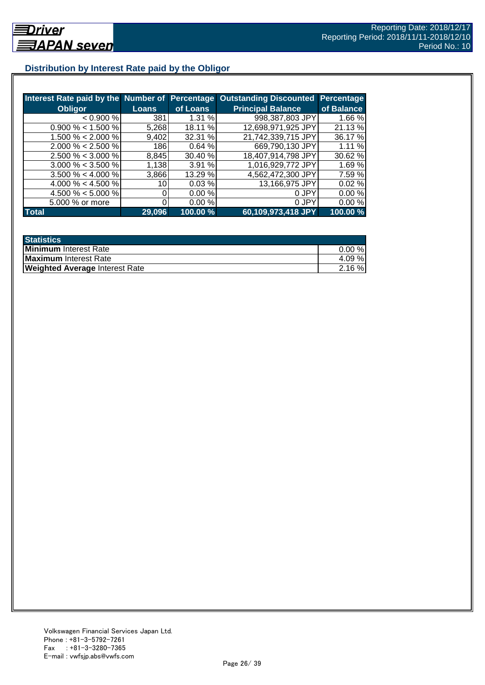## **Distribution by Interest Rate paid by the Obligor**

| Interest Rate paid by the Number of Percentage |              |          | <b>Outstanding Discounted</b> | <b>Percentage</b> |
|------------------------------------------------|--------------|----------|-------------------------------|-------------------|
| <b>Obligor</b>                                 | <b>Loans</b> | of Loans | <b>Principal Balance</b>      | of Balance        |
| < 0.900 %                                      | 381          | 1.31%    | 998,387,803 JPY               | 1.66 %            |
| $0.900\% < 1.500\%$                            | 5,268        | 18.11 %  | 12,698,971,925 JPY            | 21.13 %           |
| 1.500 % < 2.000 %                              | 9,402        | 32.31 %  | 21,742,339,715 JPY            | 36.17 %           |
| $2.000\% < 2.500\%$                            | 186          | 0.64%    | 669,790,130 JPY               | 1.11%             |
| $2.500\% < 3.000\%$                            | 8,845        | 30.40 %  | 18,407,914,798 JPY            | 30.62 %           |
| $3.000\% < 3.500\%$                            | 1,138        | 3.91 %   | 1,016,929,772 JPY             | 1.69%             |
| $3.500\% < 4.000\%$                            | 3,866        | 13.29 %  | 4,562,472,300 JPY             | 7.59%             |
| 4.000 % < 4.500 %                              | 10           | 0.03%    | 13,166,975 JPY                | 0.02%             |
| 4.500 % $<$ 5.000 %                            |              | 0.00 %   | 0 JPY                         | 0.00%             |
| 5.000 % or more                                |              | 0.00%    | 0 JPY                         | 0.00%             |
| <b>Total</b>                                   | 29,096       | 100.00 % | 60,109,973,418 JPY            | 100.00 %          |

| <b>Statistics</b>                     |           |
|---------------------------------------|-----------|
| Minimum Interest Rate                 | $0.00 \%$ |
| <b>Maximum</b> Interest Rate          | 4.09 %    |
| <b>Weighted Average Interest Rate</b> | 2.16%     |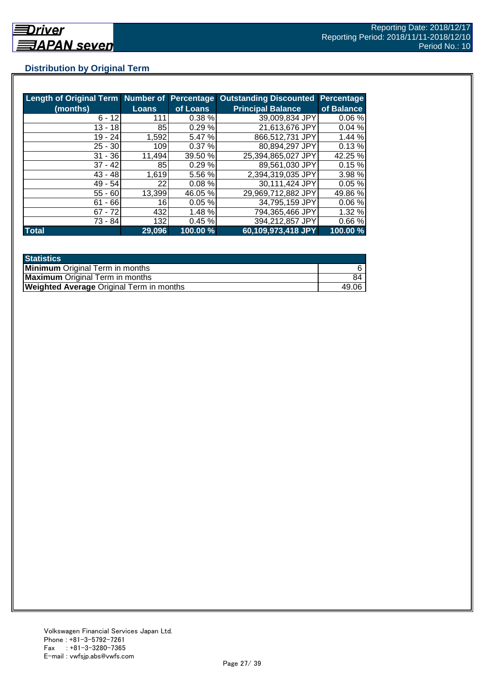## **Distribution by Original Term**

| Length of Original Term Number of Percentage |              |          | <b>Outstanding Discounted</b> | <b>Percentage</b> |
|----------------------------------------------|--------------|----------|-------------------------------|-------------------|
| (months)                                     | <b>Loans</b> | of Loans | <b>Principal Balance</b>      | of Balance        |
| $6 - 12$                                     | 111          | 0.38%    | 39,009,834 JPY                | 0.06%             |
| $13 - 18$                                    | 85           | 0.29%    | 21,613,676 JPY                | 0.04%             |
| 19 - 24                                      | 1,592        | 5.47 %   | 866,512,731 JPY               | 1.44%             |
| $25 - 30$                                    | 109          | 0.37%    | 80,894,297 JPY                | 0.13%             |
| $31 - 36$                                    | 11,494       | 39.50 %  | 25,394,865,027 JPY            | 42.25 %           |
| $37 - 42$                                    | 85           | 0.29%    | 89,561,030 JPY                | 0.15%             |
| $43 - 48$                                    | 1,619        | 5.56 %   | 2,394,319,035 JPY             | 3.98 %            |
| $49 - 54$                                    | 22           | 0.08%    | 30,111,424 JPY                | 0.05%             |
| $55 - 60$                                    | 13,399       | 46.05 %  | 29,969,712,882 JPY            | 49.86 %           |
| $61 - 66$                                    | 16           | 0.05%    | 34,795,159 JPY                | 0.06%             |
| $67 - 72$                                    | 432          | 1.48 %   | 794,365,466 JPY               | 1.32%             |
| 73 - 84                                      | 132          | 0.45%    | 394,212,857 JPY               | 0.66%             |
| <b>Total</b>                                 | 29,096       | 100.00 % | 60,109,973,418 JPY            | 100.00 %          |

| <b>Statistics</b>                               |       |
|-------------------------------------------------|-------|
| <b>Minimum</b> Original Term in months          |       |
| <b>Maximum</b> Original Term in months          | 84    |
| <b>Weighted Average Original Term in months</b> | 49.06 |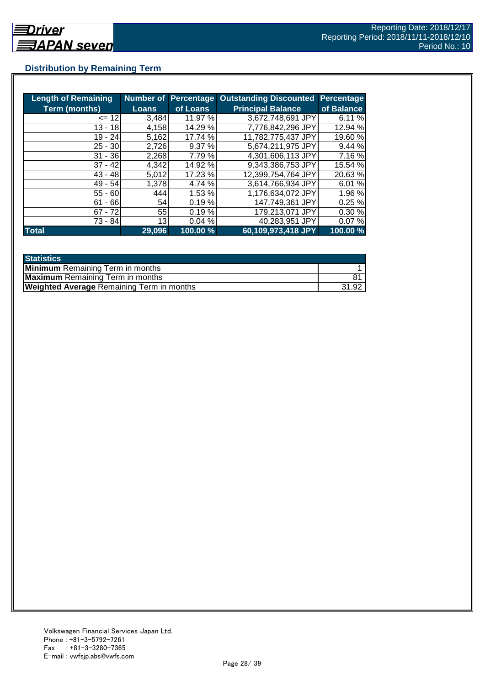## **Distribution by Remaining Term**

| <b>Length of Remaining</b> | Number of    |          | <b>Percentage Outstanding Discounted</b> | Percentage |
|----------------------------|--------------|----------|------------------------------------------|------------|
| <b>Term (months)</b>       | <b>Loans</b> | of Loans | <b>Principal Balance</b>                 | of Balance |
| $\leq$ 12                  | 3,484        | 11.97 %  | 3,672,748,691 JPY                        | 6.11%      |
| $13 - 18$                  | 4,158        | 14.29 %  | 7,776,842,296 JPY                        | 12.94 %    |
| $19 - 24$                  | 5,162        | 17.74 %  | 11,782,775,437 JPY                       | 19.60 %    |
| $25 - 30$                  | 2,726        | 9.37%    | 5,674,211,975 JPY                        | 9.44 %     |
| $31 - 36$                  | 2,268        | 7.79 %   | 4,301,606,113 JPY                        | 7.16 %     |
| $37 - 42$                  | 4,342        | 14.92 %  | 9,343,386,753 JPY                        | 15.54 %    |
| $43 - 48$                  | 5,012        | 17.23 %  | 12,399,754,764 JPY                       | 20.63%     |
| $49 - 54$                  | 1,378        | 4.74 %   | 3,614,766,934 JPY                        | 6.01%      |
| $55 - 60$                  | 444          | 1.53 %   | 1,176,634,072 JPY                        | 1.96 %     |
| $61 - 66$                  | 54           | 0.19%    | 147,749,361 JPY                          | 0.25%      |
| $67 - 72$                  | 55           | 0.19%    | 179,213,071 JPY                          | 0.30%      |
| $73 - 84$                  | 13           | 0.04%    | 40,283,951 JPY                           | 0.07%      |
| <b>Total</b>               | 29,096       | 100.00 % | 60,109,973,418 JPY                       | 100.00 %   |

| <b>Statistics</b>                                |       |
|--------------------------------------------------|-------|
| <b>Minimum</b> Remaining Term in months          |       |
| <b>Maximum</b> Remaining Term in months          |       |
| <b>Weighted Average Remaining Term in months</b> | 31.92 |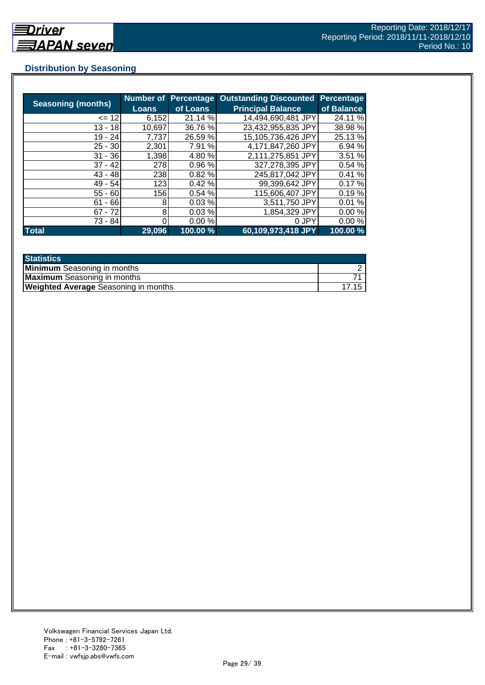### **Distribution by Seasoning**

| <b>Seasoning (months)</b> |              |          | Number of Percentage Outstanding Discounted | <b>Percentage</b> |
|---------------------------|--------------|----------|---------------------------------------------|-------------------|
|                           | <b>Loans</b> | of Loans | <b>Principal Balance</b>                    | of Balance        |
| $= 12$                    | 6,152        | 21.14 %  | 14,494,690,481 JPY                          | 24.11 %           |
| $13 - 18$                 | 10,697       | 36.76 %  | 23,432,955,835 JPY                          | 38.98 %           |
| $19 - 24$                 | 7,737        | 26.59 %  | 15,105,736,426 JPY                          | 25.13 %           |
| $25 - 30$                 | 2,301        | 7.91 %   | 4,171,847,260 JPY                           | 6.94 %            |
| $31 - 36$                 | 1,398        | 4.80 %   | 2,111,275,851 JPY                           | 3.51 %            |
| $37 - 42$                 | 278          | 0.96%    | 327,278,395 JPY                             | 0.54%             |
| $43 - 48$                 | 238          | 0.82%    | 245,817,042 JPY                             | 0.41%             |
| $49 - 54$                 | 123          | 0.42%    | 99,399,642 JPY                              | 0.17%             |
| $55 - 60$                 | 156          | 0.54%    | 115,606,407 JPY                             | 0.19%             |
| $61 - 66$                 | 8            | 0.03%    | 3,511,750 JPY                               | 0.01%             |
| $67 - 72$                 | 8            | 0.03%    | 1,854,329 JPY                               | 0.00%             |
| 73 - 84                   |              | 0.00%    | 0 JPY                                       | 0.00%             |
| <b>Total</b>              | 29,096       | 100.00 % | 60,109,973,418 JPY                          | 100.00 %          |

| <b>Statistics</b>                           |  |
|---------------------------------------------|--|
| <b>Minimum</b> Seasoning in months          |  |
| <b>Maximum</b> Seasoning in months          |  |
| <b>Weighted Average Seasoning in months</b> |  |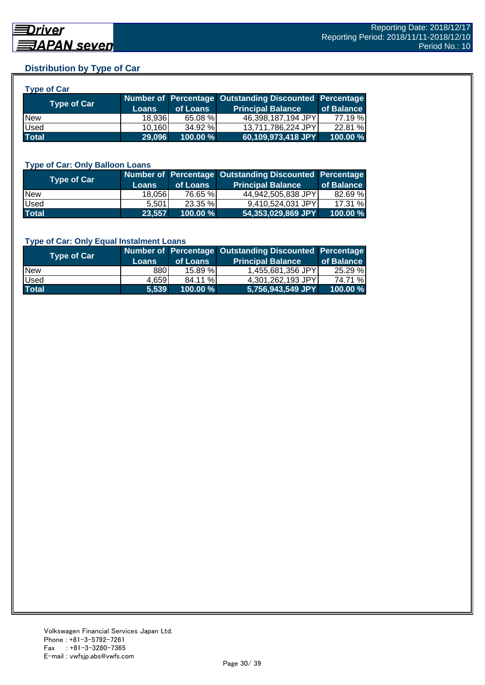#### **Distribution by Type of Car**

| vne ot<br>. . 21 |
|------------------|
|------------------|

| <b>Type of Car</b> | 'Loans | of Loans    | Number of Percentage Outstanding Discounted Percentage<br><b>Principal Balance</b> | of Balance |
|--------------------|--------|-------------|------------------------------------------------------------------------------------|------------|
| <b>New</b>         | 18.936 | 65.08 %     | 46,398,187,194 JPY                                                                 | 77.19 %    |
| <b>Used</b>        | 10,160 | 34.92 %     | 13,711,786,224 JPY                                                                 | 22.81 %    |
| <b>Total</b>       | 29.096 | $100.00 \%$ | 60,109,973,418 JPY                                                                 | 100.00 %   |

#### **Type of Car: Only Balloon Loans**

| <b>Type of Car</b> | <b>Loans</b> | of Loans    | Number of Percentage Outstanding Discounted Percentage<br><b>Principal Balance</b> | of Balance |
|--------------------|--------------|-------------|------------------------------------------------------------------------------------|------------|
| <b>New</b>         | 18.056       | 76.65 %     | 44.942.505.838 JPYI                                                                | 82.69 %    |
| Used               | 5.501        | 23.35 %     | 9.410.524.031 JPYI                                                                 | 17.31 %    |
| <b>Total</b>       | 23,557       | $100.00 \%$ | 54,353,029,869 JPY                                                                 | 100.00%    |

#### **Type of Car: Only Equal Instalment Loans**

| <b>Type of Car</b> |              |             | Number of Percentage Outstanding Discounted Percentage |            |
|--------------------|--------------|-------------|--------------------------------------------------------|------------|
|                    | <b>Loans</b> | of Loans    | <b>Principal Balance</b>                               | of Balance |
| <b>New</b>         | 880I         | 15.89%      | 1,455,681,356 JPY                                      | 25.29 %    |
| Used               | 4.659        | 84.11 %     | 4.301.262.193 JPYI                                     | 74.71 %    |
| <b>Total</b>       | 5.539        | $100.00 \%$ | 5,756,943,549 JPY                                      | 100.00 %   |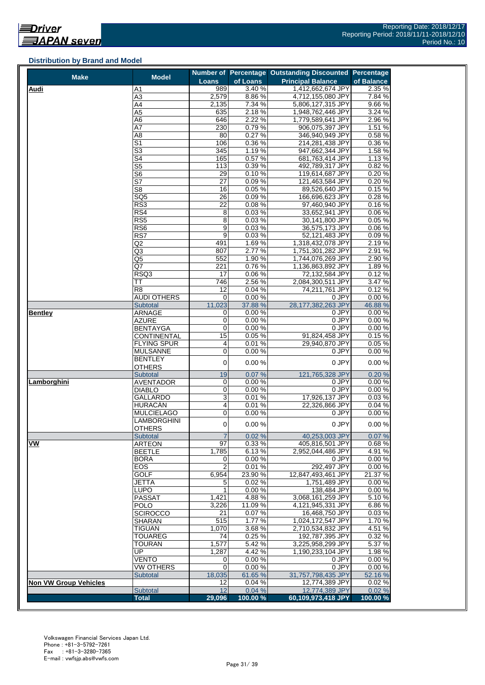#### **Distribution by Brand and Model**

| <b>Make</b>                  | <b>Model</b>                     |                         |                  | Number of Percentage Outstanding Discounted Percentage |                 |
|------------------------------|----------------------------------|-------------------------|------------------|--------------------------------------------------------|-----------------|
|                              |                                  | Loans                   | of Loans         | <b>Principal Balance</b>                               | of Balance      |
| <b>Audi</b>                  | Α1                               | 989                     | 3.40%            | 1,412,662,674 JPY                                      | 2.35 %          |
|                              | A3                               | 2,579                   | 8.86%            | 4,712,155,080 JPY                                      | 7.84%           |
|                              | A4                               | 2,135                   | 7.34 %           | 5,806,127,315 JPY                                      | 9.66%           |
|                              | A5                               | 635                     | 2.18%            | 1,948,762,446 JPY                                      | 3.24 %          |
|                              | A6                               | 646                     | 2.22 %           | 1,779,589,641 JPY                                      | 2.96 %          |
|                              | A7                               | 230                     | 0.79%            | 906,075,397 JPY                                        | 1.51 %          |
|                              | A8                               | 80                      | 0.27%            | 346,940,949 JPY                                        | 0.58%           |
|                              | $\overline{\mathsf{S}1}$         | 106                     | 0.36%            | 214,281,438 JPY                                        | 0.36%           |
|                              | $\overline{\mathbb{S}^3}$        | 345                     | 1.19%            | 947,662,344 JPY                                        | 1.58 %          |
|                              | S4                               | 165                     | 0.57%            | 681,763,414 JPY                                        | 1.13%           |
|                              | $\overline{\text{S5}}$           | 113                     | 0.39%            | 492.789.317 JPY                                        | 0.82%           |
|                              | S <sub>6</sub>                   | 29                      | 0.10%            | 119,614,687 JPY                                        | 0.20%           |
|                              | S7                               | 27                      | 0.09%            | 121,463,584 JPY                                        | 0.20%           |
|                              | S8                               | 16<br>$\overline{26}$   | 0.05%            | 89,526,640 JPY                                         | 0.15%           |
|                              | $\overline{SQ5}$                 |                         | 0.09%            | 166,696,623 JPY                                        | 0.28%           |
|                              | RS3                              | 22                      | 0.08%            | 97,460,940 JPY                                         | 0.16%           |
|                              | RS4                              | 8                       | 0.03%<br>0.03%   | 33,652,941 JPY                                         | 0.06%<br>0.05%  |
|                              | RS5                              | 8                       |                  | 30,141,800 JPY                                         |                 |
|                              | RS6                              | 9                       | 0.03%            | 36,575,173 JPY                                         | 0.06%           |
|                              | RS7                              | 9                       | 0.03%            | 52,121,483 JPY                                         | 0.09%           |
|                              | Q2                               | 491                     | 1.69%            | 1,318,432,078 JPY<br>1,751,301,282 JPY                 | 2.19%           |
|                              | Q3                               | 807                     | 2.77%            |                                                        | 2.91 %          |
|                              | Q5                               | 552                     | 1.90%            | 1,744,076,269 JPY                                      | 2.90%           |
|                              | Q7                               | 221<br>17               | 0.76%<br>0.06%   | 1,136,863,892 JPY                                      | 1.89%<br>0.12%  |
|                              | RSQ3                             |                         |                  | 72,132,584 JPY<br>2,084,300,511 JPY                    |                 |
|                              | ТT                               | 746                     | 2.56%            |                                                        | 3.47 %          |
|                              | R <sub>8</sub>                   | 12                      | 0.04%            | 74,211,761 JPY<br>0 JPY                                | 0.12%           |
|                              | <b>AUDI OTHERS</b>               | 0                       | 0.00%            |                                                        | 0.00%           |
|                              | <b>Subtotal</b><br><b>ARNAGE</b> | 11,023                  | 37.88 %<br>0.00% | 28,177,382,263 JPY<br>0 JPY                            | 46.88%<br>0.00% |
| <b>Bentley</b>               | AZURE                            | 0<br>0                  | 0.00%            | 0 JPY                                                  | 0.00%           |
|                              | <b>BENTAYGA</b>                  | 0                       | 0.00%            | 0 JPY                                                  | 0.00%           |
|                              | <b>CONTINENTAL</b>               | $\overline{15}$         | 0.05%            | 91,824,458 JPY                                         | 0.15%           |
|                              | FLYING SPUR                      | 4                       | 0.01%            | 29,940,870 JPY                                         | 0.05%           |
|                              | <b>MULSANNE</b>                  | 0                       | 0.00%            | 0 JPY                                                  | 0.00%           |
|                              | BENTLEY                          |                         |                  |                                                        |                 |
|                              | <b>OTHERS</b>                    | $\mathbf 0$             | 0.00%            | 0 JPY                                                  | 0.00%           |
|                              | Subtotal                         | 19                      | 0.07%            | 121,765,328 JPY                                        | 0.20%           |
| Lamborghini                  | <b>AVENTADOR</b>                 | 0                       | 0.00%            | 0 JPY                                                  | 0.00%           |
|                              | <b>DIABLO</b>                    | 0                       | 0.00%            | 0 JPY                                                  | 0.00%           |
|                              | GALLARDO                         | 3                       | 0.01%            | 17,926,137 JPY                                         | 0.03%           |
|                              | HURACÁN                          | $\overline{\mathbf{4}}$ | 0.01%            | 22,326,866 JPY                                         | 0.04%           |
|                              | MULCIELAGO                       | $\pmb{0}$               | 0.00%            | 0 JPY                                                  | 0.00%           |
|                              | LAMBORGHINI                      |                         |                  |                                                        |                 |
|                              | <b>OTHERS</b>                    | $\pmb{0}$               | 0.00%            | 0 JPY                                                  | 0.00%           |
|                              | <b>Subtotal</b>                  | $\overline{7}$          | 0.02%            | 40,253,003 JPY                                         | 0.07%           |
| VW                           | <b>ARTEON</b>                    | 97                      | 0.33%            | 405,816,501 JPY                                        | 0.68%           |
|                              | <b>BEETLE</b>                    | 1,785                   | 6.13%            | 2,952,044,486 JPY                                      | 4.91%           |
|                              | BORA                             | 0                       | 0.00%            | 0 JPY                                                  | 0.00%           |
|                              | EOS                              | 2                       | 0.01%            | 292,497 JPY                                            | 0.00%           |
|                              | <b>GOLF</b>                      | 6,954                   | 23.90 %          | 12,847,493,461 JPY                                     | 21.37 %         |
|                              | JETTA                            | 5                       | 0.02%            | 1,751,489 JPY                                          | 0.00%           |
|                              | LUPO                             | 1                       | 0.00%            | 138,484 JPY                                            | 0.00%           |
|                              | <b>PASSAT</b>                    | 1,421                   | 4.88%            | 3,068,161,259 JPY                                      | 5.10%           |
|                              | POLO                             | 3,226                   | 11.09%           | 4,121,945,331 JPY                                      | 6.86%           |
|                              | <b>SCIROCCO</b>                  | 21                      | 0.07%            | 16,468,750 JPY                                         | 0.03%           |
|                              | <b>SHARAN</b>                    | 515                     | 1.77%            | 1,024,172,547 JPY                                      | 1.70%           |
|                              | <b>TIGUAN</b>                    | 1,070                   | 3.68%            | 2,710,534,832 JPY                                      | 4.51%           |
|                              | <b>TOUAREG</b>                   | 74                      | 0.25%            | 192,787,395 JPY                                        | 0.32%           |
|                              | <b>TOURAN</b>                    | 1,577                   | 5.42%            | 3,225,958,299 JPY                                      | 5.37 %          |
|                              | UP                               | 1,287                   | 4.42%            | 1,190,233,104 JPY                                      | 1.98%           |
|                              | VENTO                            | 0                       | 0.00%            | 0 JPY                                                  | 0.00%           |
|                              | <b>VW OTHERS</b>                 | 0                       | 0.00%            | 0 JPY                                                  | 0.00%           |
| <b>Non VW Group Vehicles</b> | <b>Subtotal</b>                  | 18,035                  | 61.65 %          | 31,757,798,435 JPY                                     | 52.16 %         |
|                              | Subtotal                         | 12<br>12                | 0.04%<br>0.04%   | 12,774,389 JPY<br>12,774,389 JPY                       | 0.02%<br>0.02%  |
|                              | <b>Total</b>                     | 29,096                  | 100.00%          | 60,109,973,418 JPY                                     | 100.00 %        |
|                              |                                  |                         |                  |                                                        |                 |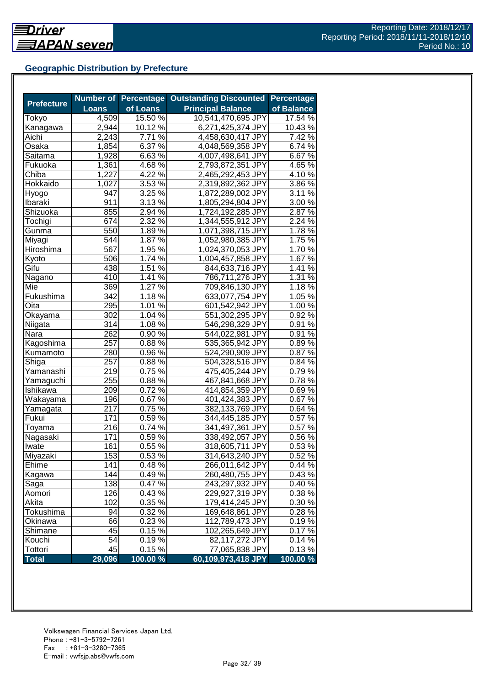## **Geographic Distribution by Prefecture**

|                   |              | <b>Number of Percentage</b> | <b>Outstanding Discounted</b> | <b>Percentage</b> |
|-------------------|--------------|-----------------------------|-------------------------------|-------------------|
| <b>Prefecture</b> | <b>Loans</b> | of Loans                    | <b>Principal Balance</b>      | of Balance        |
| Tokyo             | 4,509        | 15.50 %                     | 10,541,470,695 JPY            | 17.54 %           |
| Kanagawa          | 2,944        | 10.12 %                     | 6,271,425,374 JPY             | 10.43%            |
| Aichi             | 2,243        | 7.71 %                      | 4,458,630,417 JPY             | 7.42 %            |
| Osaka             | 1,854        | 6.37 %                      | 4,048,569,358 JPY             | 6.74 %            |
| Saitama           | 1,928        | 6.63%                       | 4,007,498,641 JPY             | 6.67%             |
| Fukuoka           | 1,361        | 4.68 $\sqrt{2}$             | 2,793,872,351 JPY             | 4.65 %            |
| Chiba             | 1,227        | $4.22\sqrt{6}$              | 2,465,292,453 JPY             | 4.10%             |
| Hokkaido          | 1,027        | $3.53\%$                    | 2,319,892,362 JPY             | 3.86%             |
| Hyogo             | 947          | 3.25 %                      | 1,872,289,002 JPY             | 3.11 %            |
| Ibaraki           | 911          | $3.13\%$                    | 1,805,294,804 JPY             | $3.00\,\sqrt{2}$  |
| Shizuoka          | 855          | 2.94 %                      | 1,724,192,285 JPY             | 2.87%             |
| Tochigi           | 674          | 2.32 %                      | 1,344,555,912 JPY             | 2.24 %            |
| Gunma             | 550          | 1.89%                       | 1,071,398,715 JPY             | 1.78%             |
| Miyagi            | 544          | 1.87 %                      | 1,052,980,385 JPY             | 1.75 %            |
| Hiroshima         | 567          | 1.95 %                      | 1,024,370,053 JPY             | 1.70%             |
| Kyoto             | 506          | 1.74 %                      | 1,004,457,858 JPY             | 1.67%             |
| Gifu              | 438          | 1.51 %                      | 844,633,716 JPY               | 1.41 %            |
| Nagano            | 410          | $1.41\%$                    | 786,711,276 JPY               | 1.31 %            |
| Mie               | 369          | $1.27\%$                    | 709,846,130 JPY               | 1.18%             |
| Fukushima         | 342          | $1.18\%$                    | 633,077,754 JPY               | 1.05 %            |
| Oita              | 295          | $1.01\%$                    | 601,542,942 JPY               | $1.00\%$          |
| Okayama           | 302          | $1.04\%$                    | 551,302,295 JPY               | $0.92\%$          |
| Niigata           | 314          | 1.08 %                      | 546,298,329 JPY               | 0.91%             |
| Nara              | 262          | 0.90%                       | 544,022,981 JPY               | 0.91%             |
| Kagoshima         | 257          | 0.88%                       | 535,365,942 JPY               | 0.89%             |
| Kumamoto          | 280          | 0.96 %                      | 524,290,909 JPY               | 0.87%             |
| Shiga             | 257          | 0.88%                       | 504,328,516 JPY               | 0.84 %            |
| Yamanashi         | 219          | 0.75 %                      | 475,405,244 JPY               | 0.79%             |
| Yamaguchi         | 255          | 0.88%                       | 467,841,668 JPY               | 0.78%             |
| Ishikawa          | 209          | 0.72%                       | 414,854,359 JPY               | 0.69%             |
| Wakayama          | 196          | 0.67%                       | 401,424,383 JPY               | 0.67%             |
| Yamagata          | 217          | $0.75\,\sqrt{2}$            | 382,133,769 JPY               | 0.64 %            |
| Fukui             | 171          | $0.59\%$                    | 344,445,185 JPY               | 0.57%             |
| Toyama            | 216          | $0.74\sqrt[6]{ }$           | 341,497,361 JPY               | 0.57%             |
| Nagasaki          | 171          | 0.59%                       | 338,492,057 JPY               | $0.56\,\sqrt{2}$  |
| Iwate             | 161          | 0.55 %                      | 318,605,711 JPY               | 0.53%             |
| Miyazaki          | 153          | 0.53%                       | 314,643,240 JPY               | 0.52%             |
| Ehime             | 141          | 0.48%                       | 266,011,642 JPY               | 0.44%             |
| Kagawa            | 144          | 0.49%                       | 260,480,755 JPY               | 0.43%             |
| Saga              | 138          | 0.47%                       | 243,297,932 JPY               | 0.40%             |
| Aomori            | 126          | 0.43%                       | 229,927,319 JPY               | 0.38 %            |
| Akita             | 102          | 0.35 %                      | 179,414,245 JPY               | 0.30%             |
| Tokushima         | 94           | 0.32 %                      | 169,648,861 JPY               | 0.28%             |
| Okinawa           | 66           | $0.23\sqrt{2}$              | 112,789,473 JPY               | 0.19%             |
| Shimane           | 45           | $0.15\,\sqrt{2}$            | 102,265,649 JPY               | 0.17%             |
| Kouchi            | 54           | 0.19%                       | 82,117,272 JPY                | 0.14%             |
| Tottori           | 45           | 0.15%                       | 77,065,838 JPY                | 0.13%             |
| <b>Total</b>      | 29,096       | 100.00 %                    | 60,109,973,418 JPY            | 100.00 %          |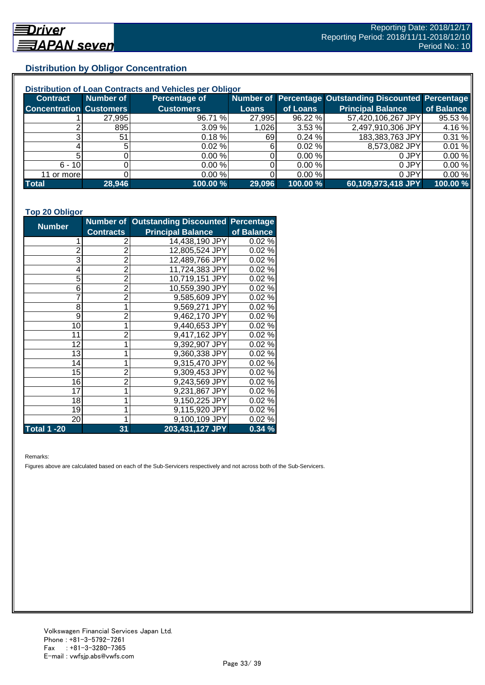## **Distribution by Obligor Concentration**

| Distribution of Loan Contracts and Vehicles per Obligor |           |                  |        |           |                                                        |            |  |
|---------------------------------------------------------|-----------|------------------|--------|-----------|--------------------------------------------------------|------------|--|
| <b>Contract</b>                                         | Number of | Percentage of    |        |           | Number of Percentage Outstanding Discounted Percentage |            |  |
| <b>Concentration Customers</b>                          |           | <b>Customers</b> | Loans  | of Loans  | <b>Principal Balance</b>                               | of Balance |  |
|                                                         | 27,995    | 96.71 %          | 27,995 | 96.22 %   | 57,420,106,267 JPY                                     | 95.53 %    |  |
|                                                         | 895       | 3.09%            | 1,026  | 3.53%     | 2,497,910,306 JPY                                      | 4.16%      |  |
| ົ                                                       | 51        | 0.18%            | 691    | 0.24%     | 183,383,763 JPY                                        | 0.31 %     |  |
|                                                         |           | $0.02 \%$        | 61     | $0.02 \%$ | 8,573,082 JPY                                          | 0.01%      |  |
|                                                         |           | 0.00%            |        | 0.00%     | 0 JPY                                                  | 0.00%      |  |
| $6 - 10$                                                |           | 0.00%            |        | 0.00 %    | 0 JPY                                                  | 0.00%      |  |
| 11 or more                                              |           | 0.00%            |        | 0.00 %    | 0 JPY                                                  | 0.00%      |  |
| <b>Total</b>                                            | 28,946    | 100.00 %         | 29,096 | 100.00 %  | 60,109,973,418 JPY                                     | 100.00 %   |  |

#### **Top 20 Obligor**

| <b>Number</b>  |                  | Number of Outstanding Discounted Percentage |            |
|----------------|------------------|---------------------------------------------|------------|
|                | <b>Contracts</b> | <b>Principal Balance</b>                    | of Balance |
| 1              | 2                | 14,438,190 JPY                              | 0.02%      |
| $\overline{c}$ | $\overline{2}$   | 12,805,524 JPY                              | 0.02%      |
| 3              | $\overline{2}$   | 12,489,766 JPY                              | 0.02%      |
| 4              | $\overline{2}$   | 11,724,383 JPY                              | 0.02%      |
| 5              | $\overline{2}$   | 10,719,151 JPY                              | 0.02%      |
| 6              | $\overline{2}$   | 10,559,390 JPY                              | 0.02%      |
| 7              | $\overline{2}$   | 9,585,609 JPY                               | 0.02%      |
| 8              | $\mathbf 1$      | 9,569,271 JPY                               | 0.02%      |
| 9              | $\overline{2}$   | 9,462,170 JPY                               | 0.02%      |
| 10             | 1                | 9,440,653 JPY                               | 0.02%      |
| 11             | $\overline{2}$   | 9,417,162 JPY                               | 0.02%      |
| 12             | 1                | 9,392,907 JPY                               | 0.02%      |
| 13             | 1                | 9,360,338 JPY                               | 0.02%      |
| 14             | 1                | 9,315,470 JPY                               | 0.02%      |
| 15             | $\overline{2}$   | 9,309,453 JPY                               | 0.02%      |
| 16             | $\overline{2}$   | 9,243,569 JPY                               | 0.02%      |
| 17             | 1                | 9,231,867 JPY                               | 0.02%      |
| 18             | 1                | 9,150,225 JPY                               | 0.02%      |
| 19             | 1                | 9,115,920 JPY                               | 0.02%      |
| 20             | 1                | 9,100,109 JPY                               | 0.02%      |
| Total 1 -20    | 31               | 203,431,127 JPY                             | 0.34%      |

Remarks:

Figures above are calculated based on each of the Sub-Servicers respectively and not across both of the Sub-Servicers.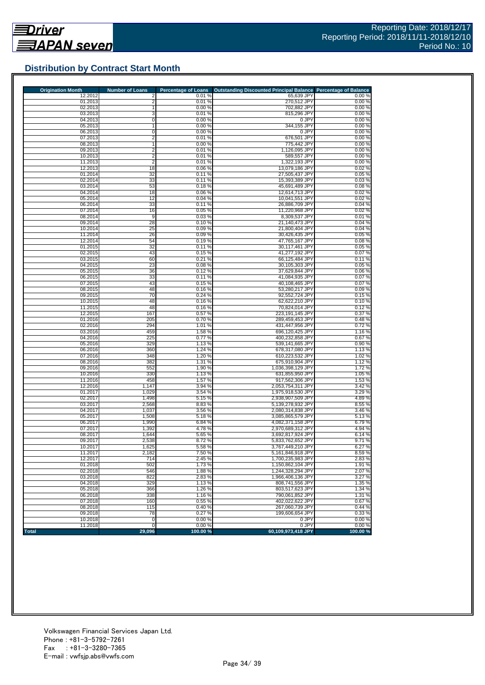

## **Distribution by Contract Start Month**

| <b>Origination Month</b> | <b>Number of Loans</b>           | <b>Percentage of Loans</b> | Outstanding Discounted Principal Balance Percentage of Balance |                     |
|--------------------------|----------------------------------|----------------------------|----------------------------------------------------------------|---------------------|
| 12.2012<br>01.2013       | 2                                | 0.01%<br>0.01%             | 65,639 JPY                                                     | 0.00%<br>0.00%      |
| 02.2013                  | $\overline{\mathbf{c}}$<br>1     | 0.00%                      | 270,512 JPY<br>702.882 JPY                                     | 0.00%               |
| 03.2013                  | 3                                | 0.01%                      | 815,296 JPY                                                    | 0.00%               |
| 04.2013                  | 0                                | 0.00%                      | 0 JPY                                                          | 0.00%               |
| 05.2013                  |                                  | 0.00%                      | 344,155 JPY                                                    | 0.00%               |
| 06.2013                  | 0                                | 0.00%                      | 0 JPY                                                          | 0.00%               |
| 07.2013                  | 2                                | 0.01%                      | 676,501 JPY                                                    | 0.00%               |
| 08.2013                  |                                  | 0.00%                      | 775,442 JPY                                                    | 0.00%               |
| 09.2013<br>10.2013       | $\overline{2}$<br>$\overline{2}$ | 0.01%<br>0.01%             | 1,126,095 JPY<br>589,557 JPY                                   | 0.00%<br>0.00%      |
| 11.2013                  | $\overline{2}$                   | 0.01%                      | 1,322,193 JPY                                                  | 0.00%               |
| 12.2013                  | 18                               | 0.06%                      | 13,079,186 JPY                                                 | 0.02%               |
| 01.2014                  | 32                               | 0.11%                      | 27,505,437 JPY                                                 | 0.05%               |
| 02.2014                  | 33                               | 0.11%                      | 15.393.389 JPY                                                 | 0.03%               |
| 03.2014                  | 53                               | 0.18%                      | 45,691,489 JPY                                                 | 0.08%               |
| 04.2014                  | 18                               | 0.06%                      | 12,614,713 JPY                                                 | 0.02%               |
| 05.2014                  | 12                               | 0.04%                      | 10,041,551 JPY<br>26,886,709 JPY                               | 0.02%<br>0.04%      |
| 06.2014<br>07.2014       | 33<br>16                         | 0.11%<br>0.05 %            | 11,220,968 JPY                                                 | 0.02%               |
| 08.2014                  | 9                                | 0.03%                      | 8,309,537 JPY                                                  | 0.01%               |
| 09.2014                  | 28                               | 0.10%                      | 21,140,473 JPY                                                 | 0.04%               |
| 10.2014                  | 25                               | 0.09%                      | 21,800,404 JPY                                                 | 0.04%               |
| 11.2014                  | 26                               | 0.09%                      | 30,426,435 JPY                                                 | 0.05%               |
| 12.2014                  | 54                               | 0.19%                      | 47,765,167 JPY                                                 | 0.08%               |
| 01.2015                  | 32                               | 0.11%                      | 30,117,461 JPY                                                 | 0.05%               |
| 02.2015<br>03.2015       | 43                               | 0.15%<br>0.21%             | 41,277,192 JPY<br>66,125,484 JPY                               | 0.07%<br>0.11%      |
| 04.2015                  | 60<br>23                         | 0.08%                      | 30,105,303 JPY                                                 | 0.05%               |
| 05.2015                  | 36                               | 0.12%                      | 37,629,844 JPY                                                 | 0.06%               |
| 06.2015                  | 33                               | 0.11%                      | 41,084,935 JPY                                                 | 0.07%               |
| 07.2015                  | 43                               | 0.15%                      | 40,108,465 JPY                                                 | 0.07%               |
| 08.2015                  | 48                               | 0.16%                      | 53.280.217 JPY                                                 | 0.09%               |
| 09.2015                  | 70                               | 0.24%                      | 92,552,724 JPY                                                 | 0.15%               |
| 10.2015<br>11.2015       | 48<br>48                         | 0.16%<br>0.16%             | 62,622,210 JPY                                                 | 0.10%               |
| 12.2015                  | 167                              | 0.57%                      | 70,824,014 JPY<br>223.191.145 JPY                              | 0.12%<br>0.37%      |
| 01.2016                  | 205                              | 0.70%                      | 289,459,453 JPY                                                | 0.48%               |
| 02.2016                  | 294                              | 1.01 %                     | 431,447,956 JPY                                                | 0.72%               |
| 03.2016                  | 459                              | 1.58 %                     | 696,120,425 JPY                                                | 1.16%               |
| 04.2016                  | 225                              | 0.77%                      | 400,232,858 JPY                                                | 0.67%               |
| 05.2016                  | 329                              | 1.13%                      | 539,141,665 JPY                                                | 0.90%               |
| 06.2016<br>07.2016       | 360<br>348                       | 1.24 %<br>1.20 %           | 678,317,080 JPY<br>610,223,532 JPY                             | 1.13 %<br>1.02 %    |
| 08.2016                  | 382                              | 1.31 %                     | 675,910,904 JPY                                                | 1.12 %              |
| 09.2016                  | 552                              | 1.90 %                     | 1,036,398,129 JPY                                              | 1.72%               |
| 10.2016                  | 330                              | 1.13%                      | 631,855,950 JPY                                                | 1.05 %              |
| 11.2016                  | 458                              | 1.57 %                     | 917,562,306 JPY                                                | 1.53 %              |
| 12.2016                  | 1,147                            | 3.94 %                     | 2,053,754,311 JPY                                              | 3.42 %              |
| 01.2017                  | 1,029                            | 3.54 %                     | 1,975,918,530 JPY                                              | 3.29 %              |
| 02.2017<br>03.2017       | 1,498                            | 5.15%<br>8.83%             | 2,938,907,509 JPY<br>5,139,278,932 JPY                         | 4.89%<br>8.55 %     |
| 04.2017                  | 2,568<br>1,037                   | 3.56 %                     | 2,080,314,838 JPY                                              | 3.46 %              |
| 05.2017                  | 1,508                            | 5.18%                      | 3,085,865,579 JPY                                              | $\overline{5.13}$ % |
| 06.2017                  | 1,990                            | 6.84%                      | 4,082,371,158 JPY                                              | 6.79%               |
| 07.2017                  | 1,392                            | 4.78 %                     | 2,970,689,312 JPY                                              | 4.94 %              |
| 08.2017                  | 1,644                            | 5.65 %                     | 3,692,817,924 JPY                                              | 6.14%               |
| 09.2017                  | 2,538                            | 8.72 %                     | 5,833,762,652 JPY<br>3.767.449.210 JPY                         | 9.71 %<br>6.27%     |
| 10.2017                  | 1,625                            | 5.58%                      | 5,161,846,918 JPY                                              | 8.59%               |
| 11.2017<br>12.2017       | 2,182<br>714                     | 7.50 %<br>2.45 %           | 1,700,235,983 JPY                                              | 2.83%               |
| 01.2018                  | 502                              | 1.73 %                     | 1,150,862,104 JPY                                              | 1.91%               |
| 02.2018                  | 546                              | 1.88%                      | 1,244,328,294 JPY                                              | 2.07%               |
| 03.2018                  | 822                              | 2.83%                      | 1,966,406,136 JPY                                              | 3.27%               |
| 04.2018                  | 329                              | 1.13%                      | 808,741,556 JPY                                                | 1.35 %              |
| 05.2018                  | 366                              | 1.26 %                     | 803.517.623 JPY                                                | 1.34 %              |
| 06.2018<br>07.2018       | 338<br>160                       | 1.16%<br>0.55 %            | 790,061,852 JPY<br>402,022,622 JPY                             | 1.31 %<br>0.67%     |
| 08.2018                  | 115                              | 0.40%                      | 267.060.739 JPY                                                | 0.44%               |
| 09.2018                  | 78                               | 0.27%                      | 199,606,654 JPY                                                | 0.33%               |
| 10.2018                  | 0                                | 0.00%                      | 0 JPY                                                          | 0.00%               |
| 11.2018                  | $\mathbf 0$                      | 0.00%                      | 0 JPY                                                          | 0.00%               |
| <b>Total</b>             | 29,096                           | 100.00%                    | 60,109,973,418 JPY                                             | 100.00 %            |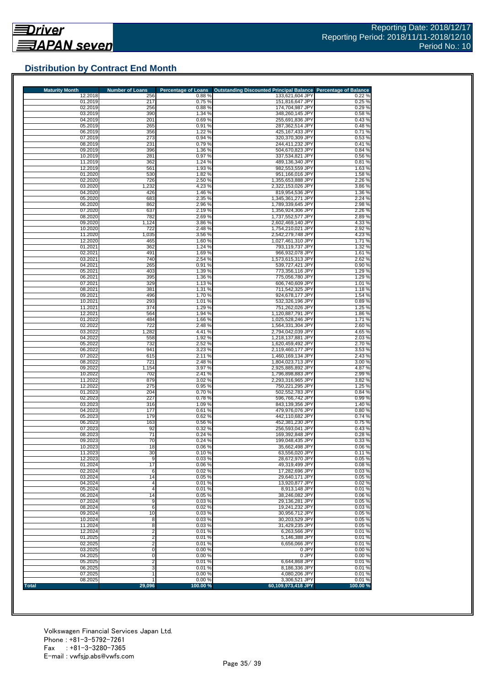

## **Distribution by Contract End Month**

| <b>Maturity Month</b> | <b>Number of Loans</b>  | <b>Percentage of Loans</b> | Outstanding Discounted Principal Balance Percentage of Balance |                  |
|-----------------------|-------------------------|----------------------------|----------------------------------------------------------------|------------------|
| 12.2018<br>01.2019    | 256<br>217              | 0.88%<br>0.75%             | 133,621,604 JPY<br>151,816,647 JPY                             | 0.22%<br>0.25%   |
| 02.2019               | 256                     | 0.88%                      | 174,704,987 JPY                                                | 0.29%            |
| 03.2019               | 390                     | 1.34 %                     | 348,260,145 JPY                                                | 0.58%            |
| 04.2019<br>05.2019    | 201<br>265              | 0.69%<br>0.91%             | 255,691,836 JPY<br>287,362,514 JPY                             | 0.43%<br>0.48%   |
| 06.2019               | 356                     | 1.22 %                     | 425.167.433 JPY                                                | 0.71%            |
| 07.2019               | 273                     | 0.94%                      | 320,370,309 JPY                                                | 0.53%            |
| 08.2019<br>09.2019    | 231<br>396              | 0.79%<br>1.36 %            | 244,411,232 JPY<br>504,670,823 JPY                             | 0.41%<br>0.84%   |
| 10.2019               | 281                     | 0.97%                      | 337,534,821 JPY                                                | 0.56%            |
| 11.2019               | 362                     | 1.24 %                     | 489,136,340 JPY                                                | 0.81%            |
| 12.2019<br>01.2020    | 561<br>530              | 1.93 %<br>1.82%            | 982,553,559 JPY<br>951.166.016 JPY                             | 1.63%<br>1.58 %  |
| 02.2020               | 726                     | 2.50 %                     | 1,355,653,888 JPY                                              | 2.26 %           |
| 03.2020               | 1,232                   | 4.23 %                     | 2,322,153,026 JPY                                              | 3.86 %           |
| 04.2020<br>05.2020    | 426<br>683              | 1.46 %<br>2.35 %           | 819,954,536 JPY<br>1,345,361,271 JPY                           | 1.36 %<br>2.24 % |
| 06.2020               | 862                     | 2.96 %                     | 1,789,339,645 JPY                                              | 2.98%            |
| 07.2020               | 637                     | 2.19%                      | 1,356,924,306 JPY                                              | 2.26 %           |
| 08.2020               | 782                     | 2.69%                      | 1,737,552,577 JPY                                              | 2.89%            |
| 09.2020<br>10.2020    | 1,124<br>722            | 3.86 %<br>2.48%            | 2,602,469,140 JPY<br>1,754,210,021 JPY                         | 4.33 %<br>2.92 % |
| 11.2020               | 1,035                   | 3.56 %                     | 2,542,279,748 JPY                                              | 4.23%            |
| 12.2020               | 465                     | 1.60%                      | 1,027,461,310 JPY                                              | 1.71%            |
| 01.2021<br>02.2021    | 362<br>491              | 1.24 %<br>1.69%            | 793,119,737 JPY<br>966,932,078 JPY                             | 1.32 %<br>1.61 % |
| 03.2021               | 740                     | 2.54 %                     | 1,573,615,313 JPY                                              | 2.62%            |
| 04.2021               | 265                     | 0.91%                      | 539,727,421 JPY                                                | 0.90%            |
| 05.2021<br>06.2021    | 403<br>395              | 1.39 %<br>1.36 %           | 773,356,116 JPY<br>775.056.780 JPY                             | 1.29 %<br>1.29 % |
| 07.2021               | 329                     | 1.13 %                     | 606,740,609 JPY                                                | 1.01%            |
| 08.2021               | 381                     | 1.31 %                     | 711.542.325 JPY                                                | 1.18%            |
| 09.2021<br>10.2021    | 496<br>293              | 1.70 %<br>1.01%            | 924,678,177 JPY<br>532.326.196 JPY                             | 1.54 %<br>0.89%  |
| 11.2021               | 374                     | 1.29 %                     | 751,262,026 JPY                                                | 1.25 %           |
| 12.2021               | 564                     | 1.94 %                     | 1,120,887,791 JPY                                              | 1.86 %           |
| 01.2022               | 484                     | 1.66 %                     | 1,025,528,246 JPY                                              | 1.71 %           |
| 02.2022<br>03.2022    | 722<br>1,282            | 2.48 %<br>4.41%            | 1,564,331,304 JPY<br>2,794,042,039 JPY                         | 2.60%<br>4.65 %  |
| 04.2022               | 558                     | 1.92 %                     | 1,218,137,881 JPY                                              | 2.03%            |
| 05.2022               | 732                     | 2.52 %                     | 1,620,459,492 JPY                                              | 2.70 %           |
| 06.2022<br>07.2022    | 941<br>615              | 3.23%<br>2.11 %            | 2,119,460,177 JPY<br>1,460,169,134 JPY                         | 3.53 %<br>2.43 % |
| 08.2022               | 721                     | 2.48 %                     | 1,804,023,713 JPY                                              | 3.00%            |
| 09.2022               | 1,154                   | 3.97 %                     | 2,925,885,892 JPY                                              | 4.87%            |
| 10.2022<br>11.2022    | 702<br>879              | 2.41 %<br>3.02 %           | 1,796,898,883 JPY<br>2,293,316,965 JPY                         | 2.99%<br>3.82 %  |
| 12.2022               | 275                     | 0.95%                      | 750,221,295 JPY                                                | 1.25 %           |
| 01.2023               | 204                     | 0.70%                      | 502,552,783 JPY                                                | 0.84%            |
| 02.2023<br>03.2023    | 227<br>316              | 0.78%<br>1.09%             | 596,766,742 JPY<br>843,139,356 JPY                             | 0.99%<br>1.40 %  |
| 04.2023               | 177                     | 0.61%                      | 479,976,076 JPY                                                | 0.80%            |
| 05.2023               | 179                     | 0.62%                      | 442,110,682 JPY                                                | 0.74%            |
| 06.2023               | 163                     | 0.56 %                     | 452,381,230 JPY                                                | 0.75%            |
| 07.2023<br>08.2023    | 92<br>71                | 0.32%<br>0.24%             | 256,593,041 JPY<br>169.392.848 JPY                             | 0.43%<br>0.28%   |
| 09.2023               | 70                      | 0.24%                      | 199,048,435 JPY                                                | 0.33%            |
| 10.2023               | 18                      | 0.06%                      | 35,662,498 JPY                                                 | 0.06%            |
| 11.2023<br>12.2023    | 30<br>9                 | 0.10%<br>0.03%             | 63,556,020 JPY<br>28,672,970 JPY                               | 0.11%<br>0.05%   |
| 01.2024               | 17                      | 0.06%                      | 49,319,499 JPY                                                 | 0.08%            |
| 02.2024               | 6                       | 0.02%                      | 17,282,696 JPY                                                 | 0.03%            |
| 03.2024<br>04.2024    | 14<br>$\overline{4}$    | 0.05%<br>0.01%             | 29.640.171 JPY<br>13,920,877 JPY                               | 0.05%<br>0.02%   |
| 05.2024               | $\overline{4}$          | 0.01%                      | 8,913,148 JPY                                                  | 0.01%            |
| 06.2024               | 14                      | 0.05 %                     | 38,246,082 JPY                                                 | 0.06%            |
| 07.2024<br>08.2024    | 9<br>6                  | 0.03%<br>0.02%             | 29,136,281 JPY<br>19,241,232 JPY                               | 0.05%<br>0.03%   |
| 09.2024               | 10                      | 0.03%                      | 30,956,712 JPY                                                 | 0.05%            |
| 10.2024               | 8                       | 0.03%                      | 30.203.529 JPY                                                 | 0.05%            |
| 11.2024<br>12.2024    | 8<br>$\overline{2}$     | 0.03%<br>0.01%             | 31,429,235 JPY<br>6.263.566 JPY                                | 0.05%<br>0.01%   |
| 01.2025               | $\overline{2}$          | 0.01%                      | 5,146,388 JPY                                                  | 0.01%            |
| 02.2025               | $\overline{\mathbf{c}}$ | 0.01%                      | 6,656,066 JPY                                                  | 0.01%            |
| 03.2025               | 0                       | 0.00%                      | 0 JPY                                                          | 0.00%            |
| 04.2025<br>05.2025    | 0<br>2                  | 0.00%<br>0.01%             | 0 JPY<br>6,644,868 JPY                                         | 0.00%<br>0.01%   |
| 06.2025               | 3                       | 0.01%                      | 8,186,336 JPY                                                  | 0.01%            |
| 07.2025               |                         | 0.00 %                     | 4,080,206 JPY                                                  | 0.01%            |
| 08.2025<br>Total      | 29,096                  | 0.00%<br>100.00%           | 3,306,521 JPY<br>60,109,973,418 JPY                            | 0.01%<br>100.00% |
|                       |                         |                            |                                                                |                  |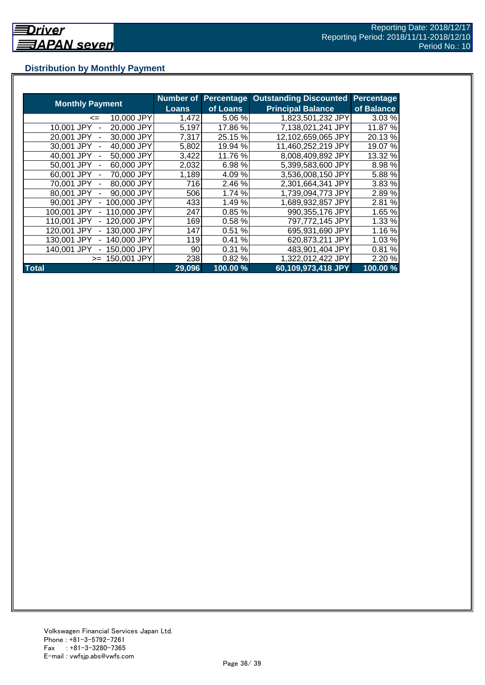## **Distribution by Monthly Payment**

|                                            | <b>Number of</b> | <b>Percentage</b> | <b>Outstanding Discounted</b> | Percentage |
|--------------------------------------------|------------------|-------------------|-------------------------------|------------|
| <b>Monthly Payment</b>                     | Loans            | of Loans          | <b>Principal Balance</b>      | of Balance |
| 10,000 JPY<br><=                           | 1,472            | 5.06 %            | 1,823,501,232 JPY             | 3.03 %     |
| 20,000 JPY<br>10.001 JPY                   | 5,197            | 17.86 %           | 7,138,021,241 JPY             | 11.87 %    |
| 30,000 JPY<br>20.001 JPY                   | 7,317            | 25.15 %           | 12,102,659,065 JPY            | 20.13 %    |
| 40,000 JPY<br>30.001 JPY                   | 5,802            | 19.94 %           | 11,460,252,219 JPY            | 19.07 %    |
| 50,000 JPY<br>40.001 JPY                   | 3,422            | 11.76 %           | 8,008,409,892 JPY             | 13.32 %    |
| 60,000 JPY<br>50,001 JPY                   | 2,032            | 6.98%             | 5,399,583,600 JPY             | 8.98 %     |
| 70,000 JPY<br>60.001 JPY                   | 1,189            | 4.09%             | 3,536,008,150 JPY             | 5.88 %     |
| 80,000 JPY<br>70,001 JPY<br>$\overline{a}$ | 716              | 2.46 %            | 2,301,664,341 JPY             | 3.83 %     |
| 90,000 JPY<br>80,001 JPY                   | 506              | 1.74 %            | 1,739,094,773 JPY             | 2.89%      |
| 100,000 JPY<br>90,001 JPY                  | 433              | 1.49 %            | 1,689,932,857 JPY             | 2.81 %     |
| 110,000 JPY<br>100.001 JPY                 | 247              | 0.85%             | 990,355,176 JPY               | 1.65 %     |
| 120,000 JPY<br>110.001 JPY                 | 169              | 0.58%             | 797,772,145 JPY               | 1.33 %     |
| 130,000 JPY<br>120,001 JPY                 | 147              | 0.51<br>%         | 695,931,690 JPY               | 1.16 %     |
| 140,000 JPY<br>130.001 JPY                 | 119              | %<br>0.41         | 620,873,211 JPY               | 1.03 %     |
| 140.001 JPY<br>50,000 JPY                  | 90               | 0.31%             | 483,901,404 JPY               | 0.81%      |
| 150,001 JPY<br>$>=$                        | 238              | 0.82%             | 1,322,012,422 JPY             | 2.20 %     |
| <b>Total</b>                               | 29,096           | 100.00 %          | 60,109,973,418 JPY            | 100.00%    |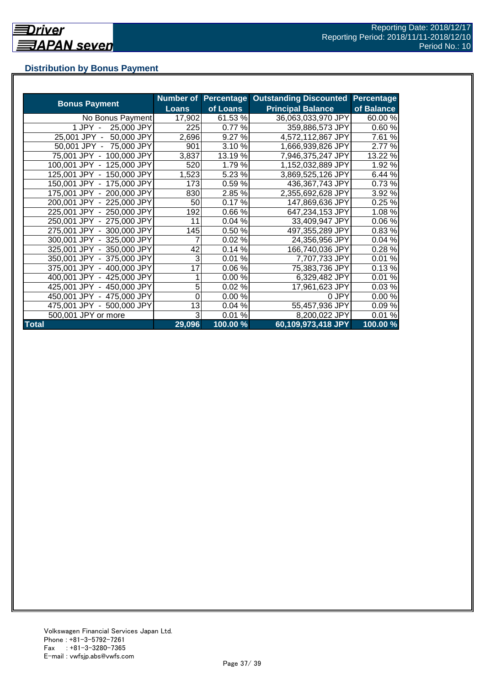## **Distribution by Bonus Payment**

|                            | <b>Number of</b> | <b>Percentage</b> | <b>Outstanding Discounted</b> | <b>Percentage</b> |
|----------------------------|------------------|-------------------|-------------------------------|-------------------|
| <b>Bonus Payment</b>       | <b>Loans</b>     | of Loans          | <b>Principal Balance</b>      | of Balance        |
| No Bonus Payment           | 17,902           | 61.53%            | 36,063,033,970 JPY            | 60.00 %           |
| 25,000 JPY<br>1 JPY -      | 225              | 0.77 %            | 359,886,573 JPY               | 0.60%             |
| 50,000 JPY<br>25,001 JPY - | 2,696            | 9.27 %            | 4,572,112,867 JPY             | 7.61 %            |
| 50,001 JPY - 75,000 JPY    | 901              | 3.10%             | 1,666,939,826 JPY             | 2.77 %            |
| 75,001 JPY - 100,000 JPY   | 3,837            | 13.19 %           | 7,946,375,247 JPY             | 13.22 %           |
| 100,001 JPY - 125,000 JPY  | 520              | 1.79%             | 1,152,032,889 JPY             | 1.92 %            |
| 125,001 JPY - 150,000 JPY  | 1,523            | 5.23 %            | 3,869,525,126 JPY             | 6.44 %            |
| 150,001 JPY - 175,000 JPY  | 173              | 0.59%             | 436,367,743 JPY               | 0.73%             |
| 175,001 JPY - 200,000 JPY  | 830              | 2.85 %            | 2,355,692,628 JPY             | 3.92 %            |
| 200,001 JPY - 225,000 JPY  | 50               | 0.17%             | 147,869,636 JPY               | 0.25%             |
| 225,001 JPY - 250,000 JPY  | 192              | 0.66%             | 647,234,153 JPY               | 1.08%             |
| 250,001 JPY - 275,000 JPY  | 11               | 0.04%             | 33,409,947 JPY                | 0.06%             |
| 275,001 JPY - 300,000 JPY  | 145              | 0.50%             | 497,355,289 JPY               | 0.83%             |
| 300,001 JPY - 325,000 JPY  | 7                | 0.02%             | 24,356,956 JPY                | 0.04%             |
| 325,001 JPY - 350,000 JPY  | 42               | 0.14%             | 166,740,036 JPY               | 0.28%             |
| 350,001 JPY - 375,000 JPY  | 3                | 0.01%             | 7,707,733 JPY                 | 0.01%             |
| 375,001 JPY - 400,000 JPY  | 17               | 0.06%             | 75,383,736 JPY                | 0.13%             |
| 400,001 JPY - 425,000 JPY  |                  | 0.00%             | 6,329,482 JPY                 | 0.01%             |
| 425,001 JPY - 450,000 JPY  | 5                | 0.02%             | 17,961,623 JPY                | 0.03%             |
| 450,001 JPY - 475,000 JPY  | 0                | 0.00%             | 0 JPY                         | 0.00%             |
| 475,001 JPY - 500,000 JPY  | 13               | 0.04%             | 55,457,936 JPY                | 0.09%             |
| 500,001 JPY or more        | 3                | 0.01%             | 8,200,022 JPY                 | 0.01%             |
| <b>Total</b>               | 29,096           | 100.00 %          | 60,109,973,418 JPY            | 100.00 %          |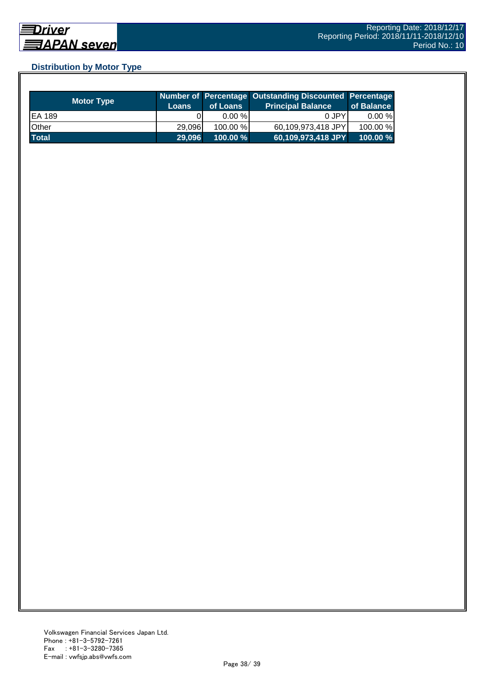## **Distribution by Motor Type**

| <b>Motor Type</b> | <b>Loans</b> | of Loans    | Number of Percentage Outstanding Discounted Percentage<br>Principal Balance <sup>'</sup> | of Balance |
|-------------------|--------------|-------------|------------------------------------------------------------------------------------------|------------|
| EA 189            |              | $0.00 \%$   | 0 JPY                                                                                    | $0.00 \%$  |
| Other             | 29.096       | $100.00\%$  | 60,109,973,418 JPY                                                                       | 100.00 %   |
| <b>Total</b>      | 29,096       | $100.00 \%$ | 60,109,973,418 JPY                                                                       | 100.00%    |